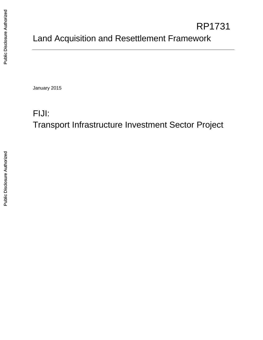# Land Acquisition and Resettlement Framework RP1731

January 2015

# FIJI: Transport Infrastructure Investment Sector Project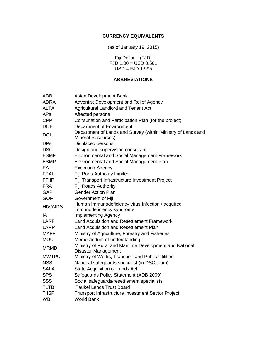## **CURRENCY EQUIVALENTS**

(as of January 19, 2015)

Fiji Dollar – (FJD) FJD 1.00 = USD 0.501 USD = FJD 1.995

## **ABBREVIATIONS**

| <b>ADB</b>      | Asian Development Bank                                                                    |  |  |
|-----------------|-------------------------------------------------------------------------------------------|--|--|
| <b>ADRA</b>     | Adventist Development and Relief Agency                                                   |  |  |
| <b>ALTA</b>     | <b>Agricultural Landlord and Tenant Act</b>                                               |  |  |
| <b>APs</b>      | Affected persons                                                                          |  |  |
| <b>CPP</b>      | Consultation and Participation Plan (for the project)                                     |  |  |
| <b>DOE</b>      | Department of Environment                                                                 |  |  |
| <b>DOL</b>      | Department of Lands and Survey (within Ministry of Lands and<br><b>Mineral Resources)</b> |  |  |
| <b>DPs</b>      | Displaced persons                                                                         |  |  |
| <b>DSC</b>      | Design and supervision consultant                                                         |  |  |
| <b>ESMF</b>     | <b>Environmental and Social Management Framework</b>                                      |  |  |
| <b>ESMP</b>     | <b>Environmental and Social Management Plan</b>                                           |  |  |
| EA              | <b>Executing Agency</b>                                                                   |  |  |
| <b>FPAL</b>     | Fiji Ports Authority Limited                                                              |  |  |
| <b>FTIIP</b>    | Fiji Transport Infrastructure Investment Project                                          |  |  |
| <b>FRA</b>      | <b>Fiji Roads Authority</b>                                                               |  |  |
| <b>GAP</b>      | <b>Gender Action Plan</b>                                                                 |  |  |
| <b>GOF</b>      | Government of Fiji                                                                        |  |  |
| <b>HIV/AIDS</b> | Human Immunodeficiency virus Infection / acquired<br>immunodeficiency syndrome            |  |  |
| IA              | <b>Implementing Agency</b>                                                                |  |  |
| LARF            | Land Acquisition and Resettlement Framework                                               |  |  |
| <b>LARP</b>     | Land Acquisition and Resettlement Plan                                                    |  |  |
| MAFF            | Ministry of Agriculture, Forestry and Fisheries                                           |  |  |
| <b>MOU</b>      | Memorandum of understanding                                                               |  |  |
| <b>MRMD</b>     | Ministry of Rural and Maritime Development and National<br><b>Disaster Management</b>     |  |  |
| <b>MWTPU</b>    | Ministry of Works, Transport and Public Utilities                                         |  |  |
| <b>NSS</b>      | National safeguards specialist (in DSC team)                                              |  |  |
| <b>SALA</b>     | <b>State Acquisition of Lands Act</b>                                                     |  |  |
| <b>SPS</b>      | Safeguards Policy Statement (ADB 2009)                                                    |  |  |
| <b>SSS</b>      | Social safeguards/resettlement specialists                                                |  |  |
| <b>TLTB</b>     | iTaukei Lands Trust Board                                                                 |  |  |
| <b>TIISP</b>    | Transport Infrastructure Investment Sector Project                                        |  |  |
| <b>WB</b>       | <b>World Bank</b>                                                                         |  |  |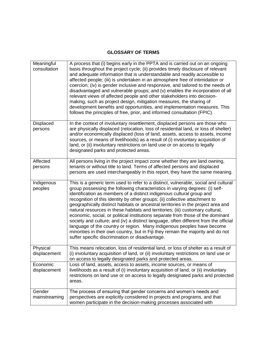# **GLOSSARY OF TERMS**

| Meaningful<br>consultation | A process that (i) begins early in the PPTA and is carried out on an ongoing<br>basis throughout the project cycle; (ii) provides timely disclosure of relevant<br>and adequate information that is understandable and readily accessible to<br>affected people; (iii) is undertaken in an atmosphere free of intimidation or<br>coercion; (iv) is gender inclusive and responsive, and tailored to the needs of<br>disadvantaged and vulnerable groups; and (v) enables the incorporation of all<br>relevant views of affected people and other stakeholders into decision-<br>making, such as project design, mitigation measures, the sharing of<br>development benefits and opportunities, and implementation measures. This<br>follows the principles of free, prior, and informed consultation (FPIC).                                                                                   |
|----------------------------|------------------------------------------------------------------------------------------------------------------------------------------------------------------------------------------------------------------------------------------------------------------------------------------------------------------------------------------------------------------------------------------------------------------------------------------------------------------------------------------------------------------------------------------------------------------------------------------------------------------------------------------------------------------------------------------------------------------------------------------------------------------------------------------------------------------------------------------------------------------------------------------------|
| Displaced<br>persons       | In the context of involuntary resettlement, displaced persons are those who<br>are physically displaced (relocation, loss of residential land, or loss of shelter)<br>and/or economically displaced (loss of land, assets, access to assets, income<br>sources, or means of livelihoods) as a result of (i) involuntary acquisition of<br>land, or (ii) involuntary restrictions on land use or on access to legally<br>designated parks and protected areas.                                                                                                                                                                                                                                                                                                                                                                                                                                  |
| Affected<br>persons        | All persons living in the project impact zone whether they are land owning,<br>tenants or without title to land. Terms of affected persons and displaced<br>persons are used interchangeably in this report, they have the same meaning.                                                                                                                                                                                                                                                                                                                                                                                                                                                                                                                                                                                                                                                       |
| Indigenous<br>peoples      | This is a generic term used to refer to a distinct, vulnerable, social and cultural<br>group possessing the following characteristics in varying degrees: (i) self-<br>identification as members of a distinct indigenous cultural group and<br>recognition of this identity by other groups; (ii) collective attachment to<br>geographically distinct habitats or ancestral territories in the project area and<br>natural resources in these habitats and territories; (iii) customary cultural,<br>economic, social, or political institutions separate from those of the dominant<br>society and culture; and (iv) a distinct language, often different from the official<br>language of the country or region. Many indigenous peoples have become<br>minorities in their own country, but in Fiji they remain the majority and do not<br>suffer specific discrimination or disadvantage. |
| Physical<br>displacement   | This means relocation, loss of residential land, or loss of shelter as a result of<br>(i) involuntary acquisition of land, or (ii) involuntary restrictions on land use or<br>on access to legally designated parks and protected areas.                                                                                                                                                                                                                                                                                                                                                                                                                                                                                                                                                                                                                                                       |
| Economic<br>displacement   | Loss of land, assets, access to assets, income sources, or means of<br>livelihoods as a result of (i) involuntary acquisition of land, or (ii) involuntary<br>restrictions on land use or on access to legally designated parks and protected<br>areas.                                                                                                                                                                                                                                                                                                                                                                                                                                                                                                                                                                                                                                        |
| Gender<br>mainstreaming    | The process of ensuring that gender concerns and women's needs and<br>perspectives are explicitly considered in projects and programs, and that<br>women participate in the decision-making processes associated with                                                                                                                                                                                                                                                                                                                                                                                                                                                                                                                                                                                                                                                                          |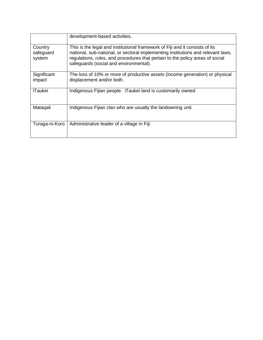|                                | development-based activities.                                                                                                                                                                                                                                                               |
|--------------------------------|---------------------------------------------------------------------------------------------------------------------------------------------------------------------------------------------------------------------------------------------------------------------------------------------|
| Country<br>safeguard<br>system | This is the legal and institutional framework of Fiji and it consists of its<br>national, sub-national, or sectoral implementing institutions and relevant laws,<br>regulations, rules, and procedures that pertain to the policy areas of social<br>safeguards (social and environmental). |
| Significant<br>impact          | The loss of 10% or more of productive assets (income generation) or physical<br>displacement and/or both.                                                                                                                                                                                   |
| iTaukei                        | Indigenous Fijian people. iTaukei land is customarily owned                                                                                                                                                                                                                                 |
| Mataqali                       | Indigenous Fijian clan who are usually the landowning unit.                                                                                                                                                                                                                                 |
| Turaga-ni-Koro                 | Administrative leader of a village in Fiji.                                                                                                                                                                                                                                                 |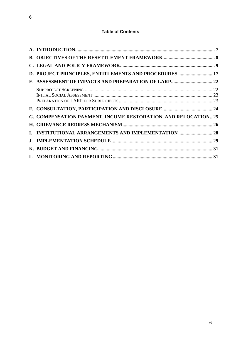# **Table of Contents**

| D. PROJECT PRINCIPLES, ENTITLEMENTS AND PROCEDURES  17         |  |
|----------------------------------------------------------------|--|
|                                                                |  |
|                                                                |  |
|                                                                |  |
|                                                                |  |
|                                                                |  |
| G. COMPENSATION PAYMENT, INCOME RESTORATION, AND RELOCATION 25 |  |
|                                                                |  |
| I. INSTITUTIONAL ARRANGEMENTS AND IMPLEMENTATION  28           |  |
|                                                                |  |
|                                                                |  |
|                                                                |  |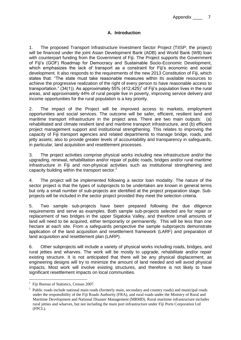Appendix 7

#### **A. Introduction**

<span id="page-6-0"></span>1. The proposed Transport Infrastructure Investment Sector Project (TIISP; the project) will be financed under the joint Asian Development Bank (ADB) and World Bank (WB) loan with counterpart funding from the Government of Fiji. The Project supports the Government of Fiji's (GOF) Roadmap for Democracy and Sustainable Socio-Economic Development, which emphasizes the lack of transport as a constraint for Fiji's economic and social development. It also responds to the requirements of the new 2013 Constitution of Fiji, which states that: "The state must take reasonable measures within its available resources to achieve the progressive realization of the right of every person to have reasonable access to transportation." (34(1)). As approximately 55% (412,425)<sup>1</sup> of Fiji's population lives in the rural areas, and approximately 44% of rural people live in poverty, improving service delivery and income opportunities for the rural population is a key priority.

2. The impact of the Project will be improved access to markets, employment opportunities and social services. The outcome will be safer, efficient, resilient land and maritime transport infrastructure in the project area. There are two main outputs: (a) rehabilitated and climate resilient land and maritime transport infrastructure, and (b) efficient project management support and institutional strengthening. This relates to improving the capacity of Fiji transport agencies and related departments to manage bridge, roads, and jetty assets; also to provide greater levels of accountability and transparency in safeguards, in particular, land acquisition and resettlement processes.

3. The project activities comprise physical works including new infrastructure and/or the upgrading, renewal, rehabilitation and/or repair of public roads, bridges and/or rural maritime infrastructure in Fiji and non-physical activities such as institutional strengthening and capacity building within the transport sector.<sup>2</sup>

4. The project will be implemented following a sector loan modality. The nature of the sector project is that the types of subprojects to be undertaken are known in general terms but only a small number of sub-projects are identified at the project preparation stage. Subprojects will be included in the sector project provided they meet the selection criteria.

5. Two sample sub-projects have been prepared following the due diligence requirements and serve as examples. Both sample sub-projects selected are for repair or replacement of two bridges in the upper Sigatoka Valley, and therefore small amounts of land will need to be acquired, either temporarily or permanently. This will be less than one hectare at each site. From a safeguards perspective the sample subprojects demonstrate application of the land acquisition and resettlement framework (LARF) and preparation of land acquisition and resettlement plan (LARP).

6. Other subprojects will include a variety of physical works including roads, bridges, and rural jetties and wharves. The work will be mostly to upgrade, rehabilitate and/or repair existing structure. It is not anticipated that there will be any physical displacement, as engineering designs will try to minimize the amount of land needed and will avoid physical impacts. Most work will involve existing structures, and therefore is not likely to have significant resettlement impacts on local communities.

1

<sup>1</sup> Fiji Bureau of Statistics, Census 2007.

<sup>&</sup>lt;sup>2</sup> Public roads include national main roads (formerly main, secondary and country roads) and municipal roads under the responsibility of the Fiji Roads Authority (FRA), and rural roads under the Ministry of Rural and Maritime Development and National Disaster Management (MRMD). Rural maritime infrastructure includes rural jetties and wharves, but not including the main port infrastructure under Fiji Ports Corporation Ltd (FPCL).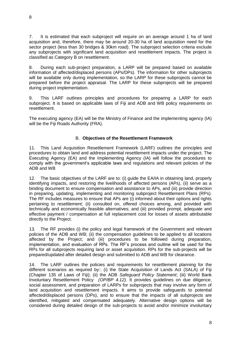7. It is estimated that each subproject will require on an average around 1 ha of land acquisition and, therefore, there may be around 20-30 ha of land acquisition need for the sector project (less than 30 bridges & 30km road). The subproject selection criteria exclude any subprojects with significant land acquisition and resettlement impacts. The project is classified as Category B on resettlement.

8. During each sub-project preparation, a LARP will be prepared based on available information of affected/displaced persons (APs/DPs). The information for other subprojects will be available only during implementation, so the LARP for these subprojects cannot be prepared before the project appraisal. The LARP for these subprojects will be prepared during project implementation.

9. This LARF outlines principles and procedures for preparing a LARP for each subproject. It is based on applicable laws of Fiji and ADB and WB policy requirements on resettlement.

The executing agency (EA) will be the Ministry of Finance and the implementing agency (IA) will be the Fiji Roads Authority (FRA).

#### B. **Objectives of the Resettlement Framework**

<span id="page-7-0"></span>11. This Land Acquisition Resettlement Framework (LARF) outlines the principles and procedures to obtain land and address potential resettlement impacts under the project. The Executing Agency (EA) and the Implementing Agency (IA) will follow the procedures to comply with the government's applicable laws and regulations and relevant policies of the ADB and WB

12. The basic objectives of the LARF are to: (i) guide the EA/IA in obtaining land, properly identifying impacts, and restoring the livelihoods of affected persons (APs), (ii) serve as a binding document to ensure compensation and assistance to APs, and (iii) provide direction in preparing, updating, implementing and monitoring subproject Resettlement Plans (RPs). The RF includes measures to ensure that APs are (i) informed about their options and rights pertaining to resettlement; (ii) consulted on, offered choices among, and provided with technically and economically feasible alternatives; and (iii) provided prompt, adequate and effective payment / compensation at full replacement cost for losses of assets attributable directly to the Project.

13. The RF provides (i) the policy and legal framework of the Government and relevant policies of the ADB and WB; (ii) the compensation guidelines to be applied to all locations affected by the Project; and (iii) procedures to be followed during preparation, implementation, and evaluation of RPs. The RF's process and outline will be used for the RPs for all subprojects requiring land or asset acquisition. RPs for the sub-projects will be prepared/updated after detailed design and submitted to ADB and WB for clearance.

14. The LARF outlines the policies and requirements for resettlement planning for the different scenarios as required by:: (i) the State Acquisition of Lands Act (SALA) of Fiji (Chapter 135 of Laws of Fiji); (ii) the ADB *Safeguard Policy Statement*; (iii) World Bank Involuntary Resettlement Policy *(OP/BP 4.12).* It provides guidelines on due diligence, social assessment, and preparation of LARPs for subprojects that may involve any form of land acquisition and resettlement impacts. It aims to provide safeguards to potential affected/displaced persons (DPs), and to ensure that the impacts of all subprojects are identified, mitigated and compensated adequately. Alternative design options will be considered during detailed design of the sub-projects to avoid and/or minimize involuntary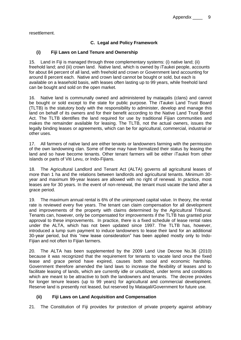<span id="page-8-0"></span>resettlement.

### **C. Legal and Policy Framework**

#### **(i) Fiji Laws on Land Tenure and Ownership**

15. Land in Fiji is managed through three complementary systems: (i) native land; (ii) freehold land; and (iii) crown land. Native land, which is owned by iTaukei people, accounts for about 84 percent of all land, with freehold and crown or Government land accounting for around 8 percent each. Native and crown land cannot be bought or sold, but each is available on a leasehold basis, with leases often lasting up to 99 years, while freehold land can be bought and sold on the open market.

16. Native land is communally owned and administered by mataqalis (clans) and cannot be bought or sold except to the state for public purpose. The iTaukei Land Trust Board (TLTB) is the statutory body with the responsibility to administer, develop and manage this land on behalf of its owners and for their benefit according to the Native Land Trust Board Act. The TLTB identifies the land required for use by traditional Fijian communities and makes the remainder available for leasing. The TLTB, not the actual owners, issues the legally binding leases or agreements, which can be for agricultural, commercial, industrial or other uses.

17. All farmers of native land are either tenants or landowners farming with the permission of the own landowning clan. Some of these may have formalized their status by leasing the land and so have become tenants. Other tenant farmers will be either iTaukei from other islands or parts of Viti Levu, or Indo-Fijians.

18. The Agricultural Landlord and Tenant Act (ALTA) governs all agricultural leases of more than 1 ha and the relations between landlords and agricultural tenants. Minimum 30 year and maximum 99-year leases are allowed with no right of renewal. In practice, most leases are for 30 years. In the event of non-renewal, the tenant must vacate the land after a grace period.

19. The maximum annual rental is 6% of the unimproved capital value. In theory, the rental rate is reviewed every five years. The tenant can claim compensation for all development and improvements of the property with claims determined by the Agricultural Tribunal. Tenants can, however, only be compensated for improvements if the TLTB has granted prior approval to these improvements. In practice, there is a fixed schedule of lease rental rates under the ALTA, which has not been updated since 1997. The TLTB has, however, introduced a lump sum payment to induce landowners to lease their land for an additional 30-year period, but this "new lease consideration" has been applied mostly only to Indo-Fijian and not often to Fijian farmers.

20. The ALTA has been supplemented by the 2009 Land Use Decree No.36 (2010) because it was recognized that the requirement for tenants to vacate land once the fixed lease and grace period have expired, causes both social and economic hardship. Government therefore amended the land laws to increase the flexibility of leases and to facilitate leasing of lands, which are currently idle or unutilized, under terms and conditions which are meant to be attractive to both the landowners and tenants. The decree provides for longer tenure leases (up to 99 years) for agricultural and commercial development. Reserve land is presently not leased, but reserved by Mataqali/Government for future use.

### **(ii) Fiji Laws on Land Acquisition and Compensation**

21. The Constitution of Fiji provides for protection of private property against arbitrary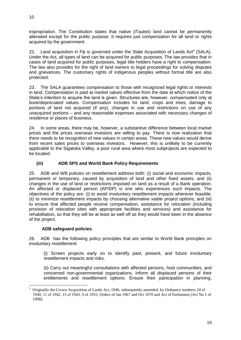expropriation. The Constitution states that native (iTaukei) land cannot be permanently alienated except for the public purpose. It requires just compensation for all land or rights acquired by the government.

22. Land acquisition in Fiji is governed under the State Acquisition of Lands Act<sup>3</sup> (SALA). Under the Act, all types of land can be acquired for public purposes. The law provides that in cases of land acquired for public purposes, legal title holders have a right to compensation. The law also provides for the right of land owners to legal proceedings for solving disputes and grievances. The customary rights of indigenous peoples without formal title are also protected.

23. The SALA guarantees compensation to those with recognized legal rights or interests in land. Compensation is paid at market values effective from the date at which notice of the State's intention to acquire the land is given. Structures are, however, compensated only at book/depreciated values. Compensation includes for land, crops and trees, damage to portions of land not acquired (if any), changes in use and restrictions on use of any unacquired portions – and any reasonable expenses associated with necessary changes of residence or places of business.

24. In some areas, there may be, however, a substantive difference between local market prices and the prices overseas investors are willing to pay. There is now realization that there needs to be recognition of new values in certain areas. These new values would derive from recent sales prices to overseas investors. However, this is unlikely to be currently applicable to the Sigatoka Valley, a poor rural area where most subprojects are expected to be located.

## **(iii) ADB SPS and World Bank Policy Requirements**

25. ADB and WB policies on resettlement address both: (i) social and economic impacts, permanent or temporary, caused by acquisition of land and other fixed assets; and (ii) changes in the use of land or restrictions imposed on land as a result of a Bank operation. An affected or displaced person (AP/DP) is one who experiences such impacts. The objectives of the policy are: (i) to avoid involuntary resettlement impacts wherever feasible; (ii) to minimize resettlement impacts by choosing alternative viable project options; and (iii) to ensure that affected people receive compensation, assistance for relocation (including provision of relocation sites with appropriate facilities and services) and assistance for rehabilitation, so that they will be at least as well off as they would have been in the absence of the project.

### **ADB safeguard policies**.

<u>.</u>

26. ADB has the following policy principles that are similar to World Bank principles on involuntary resettlement:

(i) Screen projects early on to identify past, present, and future involuntary resettlement impacts and risks.

(ii) Carry out meaningful consultations with affected persons, host communities, and concerned non-governmental organizations. Inform all displaced persons of their entitlements and resettlement options. Ensure their participation in planning,

<sup>3</sup> Originally the Crown Acquisition of Lands Act, 1940, subsequently amended: by Ordnance numbers 24 of 1940, 11 of 1942, 15 of 1943, 9 of 1955; Orders of Jan 1967 and Oct 1970 and Act of Parliament (Act No 1 of 1998).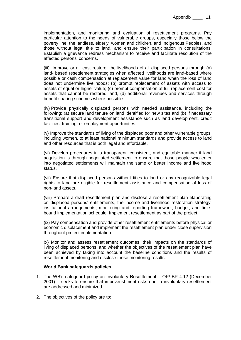implementation, and monitoring and evaluation of resettlement programs. Pay particular attention to the needs of vulnerable groups, especially those below the poverty line, the landless, elderly, women and children, and Indigenous Peoples, and those without legal title to land, and ensure their participation in consultations. Establish a grievance redress mechanism to receive and facilitate resolution of the affected persons' concerns.

(iii) Improve or at least restore, the livelihoods of all displaced persons through (a) land- based resettlement strategies when affected livelihoods are land-based where possible or cash compensation at replacement value for land when the loss of land does not undermine livelihoods; (b) prompt replacement of assets with access to assets of equal or higher value; (c) prompt compensation at full replacement cost for assets that cannot be restored; and, (d) additional revenues and services through benefit sharing schemes where possible.

(iv) Provide physically displaced persons with needed assistance, including the following: (a) secure land tenure on land identified for new sites and (b) if necessary transitional support and development assistance such as land development, credit facilities, training, or employment opportunities.

(v) Improve the standards of living of the displaced poor and other vulnerable groups, including women, to at least national minimum standards and provide access to land and other resources that is both legal and affordable.

(vi) Develop procedures in a transparent, consistent, and equitable manner if land acquisition is through negotiated settlement to ensure that those people who enter into negotiated settlements will maintain the same or better income and livelihood status.

(vii) Ensure that displaced persons without titles to land or any recognizable legal rights to land are eligible for resettlement assistance and compensation of loss of non-land assets.

(viii) Prepare a draft resettlement plan and disclose a resettlement plan elaborating on displaced persons' entitlements, the income and livelihood restoration strategy, institutional arrangements, monitoring and reporting framework, budget, and timebound implementation schedule. Implement resettlement as part of the project.

(ix) Pay compensation and provide other resettlement entitlements before physical or economic displacement and implement the resettlement plan under close supervision throughout project implementation.

(x) Monitor and assess resettlement outcomes, their impacts on the standards of living of displaced persons, and whether the objectives of the resettlement plan have been achieved by taking into account the baseline conditions and the results of resettlement monitoring and disclose these monitoring results.

#### **World Bank safeguards policies**

- 1. The WB's safeguard policy on Involuntary Resettlement OP/ BP 4.12 (December 2001) – seeks to ensure that impoverishment risks due to involuntary resettlement are addressed and minimized.
- 2. The objectives of the policy are to: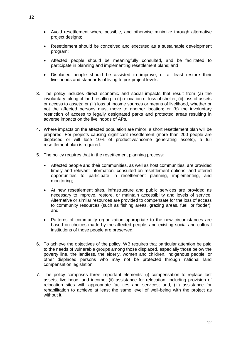- Avoid resettlement where possible, and otherwise minimize through alternative project designs;
- Resettlement should be conceived and executed as a sustainable development program;
- Affected people should be meaningfully consulted, and be facilitated to participate in planning and implementing resettlement plans; and
- Displaced people should be assisted to improve, or at least restore their livelihoods and standards of living to pre-project levels.
- 3. The policy includes direct economic and social impacts that result from (a) the involuntary taking of land resulting in (i) relocation or loss of shelter; (ii) loss of assets or access to assets; or (iii) loss of income sources or means of livelihood, whether or not the affected persons must move to another location; or (b) the involuntary restriction of access to legally designated parks and protected areas resulting in adverse impacts on the livelihoods of APs.
- 4. Where impacts on the affected population are minor, a short resettlement plan will be prepared. For projects causing significant resettlement (more than 200 people are displaced or will lose 10% of productive/income generating assets), a full resettlement plan is required.
- 5. The policy requires that in the resettlement planning process:
	- Affected people and their communities, as well as host communities, are provided timely and relevant information, consulted on resettlement options, and offered opportunities to participate in resettlement planning, implementing, and monitoring;
	- At new resettlement sites, infrastructure and public services are provided as necessary to improve, restore, or maintain accessibility and levels of service. Alternative or similar resources are provided to compensate for the loss of access to community resources (such as fishing areas, grazing areas, fuel, or fodder); and
	- Patterns of community organization appropriate to the new circumstances are based on choices made by the affected people, and existing social and cultural institutions of those people are preserved.
- 6. To achieve the objectives of the policy, WB requires that particular attention be paid to the needs of vulnerable groups among those displaced, especially those below the poverty line, the landless, the elderly, women and children, indigenous people, or other displaced persons who may not be protected through national land compensation legislation.
- 7. The policy comprises three important elements: (i) compensation to replace lost assets, livelihood, and income; (ii) assistance for relocation, including provision of relocation sites with appropriate facilities and services; and, (iii) assistance for rehabilitation to achieve at least the same level of well-being with the project as without it.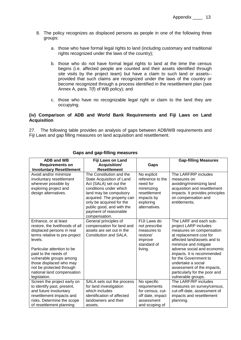- 8. The policy recognizes as displaced persons as people in one of the following three groups:
	- a. those who have formal legal rights to land (including customary and traditional rights recognized under the laws of the country);
	- b. those who do not have formal legal rights to land at the time the census begins (i.e. affected people are counted and their assets identified through site visits by the project team) but have a claim to such land or assets- provided that such claims are recognized under the laws of the country or become recognized through a process identified in the resettlement plan (see Annex A, para. 7(f) of WB policy); and
	- c. those who have no recognizable legal right or claim to the land they are occupying.

#### **(iv) Comparison of ADB and World Bank Requirements and Fiji Laws on Land Acquisition**

27. The following table provides an analysis of gaps between ADB/WB requirements and Fiji Laws and gap filling measures on land acquisition and resettlement.

| <b>ADB and WB</b>                        | Fiji Laws on Land                                      |                         | <b>Gap-filling Measures</b>                         |
|------------------------------------------|--------------------------------------------------------|-------------------------|-----------------------------------------------------|
| <b>Requirements on</b>                   | <b>Acquisition/</b>                                    | Gaps                    |                                                     |
| <b>Involuntary Resettlement</b>          | <b>Resettlement</b>                                    |                         |                                                     |
| Avoid and/or minimize                    | The Constitution and the                               | No explicit             | The LARF/RP includes                                |
| involuntary resettlement                 | State Acquisition of Land                              | reference to the        | measures on                                         |
| wherever possible by                     | Act (SALA) set out the                                 | need for                | avoiding/minimizing land                            |
| exploring project and                    | conditions under which                                 | minimizing              | acquisition and resettlement                        |
| design alternatives.                     | land may be compulsory                                 | resettlement            | impacts. It provides principles                     |
|                                          | acquired. The property can                             | impacts by              | on compensation and                                 |
|                                          | only be acquired for the                               | exploring               | entitlements.                                       |
|                                          | public good, and with the                              | alternatives.           |                                                     |
|                                          | payment of reasonable                                  |                         |                                                     |
|                                          | compensation.                                          |                         |                                                     |
| Enhance, or at least                     | General principles of                                  | FIJI Laws do            | The LARF and each sub-                              |
| restore, the livelihoods of all          | compensation for land and<br>assets are set out in the | not prescribe           | project LARP includes                               |
| displaced persons in real                | Constitution and SALA.                                 | measures to<br>restore/ | measures on compensation<br>at replacement cost for |
| terms relative to pre-project<br>levels. |                                                        |                         | affected land/assets and to                         |
|                                          |                                                        | improve<br>standard of  | minimize and mitigate                               |
| Particular attention to be               |                                                        | living.                 | adverse social and economic                         |
| paid to the needs of                     |                                                        |                         | impacts. It is recommended                          |
| vulnerable groups among                  |                                                        |                         | for the Government to                               |
| those displaced who may                  |                                                        |                         | undertake a social                                  |
| not be protected through                 |                                                        |                         | assessment of the impacts,                          |
| national land compensation               |                                                        |                         | particularly for the poor and                       |
| legislation.                             |                                                        |                         | vulnerable groups.                                  |
| Screen the project early on              | SALA sets out the process                              | No specific             | The LARF/RP includes                                |
| to identify past, present,               | for land investigation                                 | requirements            | measures on survey/census,                          |
| and future involuntary                   | which includes                                         | for census, cut-        | cut-off-date, assessment of                         |
| resettlement impacts and                 | identification of affected                             | off date, impact        | impacts and resettlement                            |
| risks. Determine the scope               | landowners and their                                   | assessment              | planning.                                           |
| of resettlement planning                 | assets.                                                | and scoping of          |                                                     |

#### **Gaps and gap-filling measures**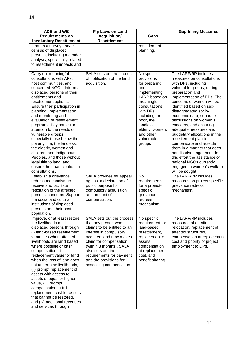14

| <b>ADB and WB</b><br><b>Requirements on</b>                                                                                                                                                                                                                                                                                                                                                                                                                                                                                                                                                                        | Fiji Laws on Land<br><b>Acquisition/</b>                                                                                                                                                                                                                                                         | Gaps                                                                                                                                                                                                                              | <b>Gap-filling Measures</b>                                                                                                                                                                                                                                                                                                                                                                                                                                                                                                                                                                                |
|--------------------------------------------------------------------------------------------------------------------------------------------------------------------------------------------------------------------------------------------------------------------------------------------------------------------------------------------------------------------------------------------------------------------------------------------------------------------------------------------------------------------------------------------------------------------------------------------------------------------|--------------------------------------------------------------------------------------------------------------------------------------------------------------------------------------------------------------------------------------------------------------------------------------------------|-----------------------------------------------------------------------------------------------------------------------------------------------------------------------------------------------------------------------------------|------------------------------------------------------------------------------------------------------------------------------------------------------------------------------------------------------------------------------------------------------------------------------------------------------------------------------------------------------------------------------------------------------------------------------------------------------------------------------------------------------------------------------------------------------------------------------------------------------------|
| <b>Involuntary Resettlement</b><br>through a survey and/or<br>census of displaced<br>persons, including a gender                                                                                                                                                                                                                                                                                                                                                                                                                                                                                                   | <b>Resettlement</b>                                                                                                                                                                                                                                                                              | resettlement<br>planning.                                                                                                                                                                                                         |                                                                                                                                                                                                                                                                                                                                                                                                                                                                                                                                                                                                            |
| analysis, specifically related<br>to resettlement impacts and<br>risks.                                                                                                                                                                                                                                                                                                                                                                                                                                                                                                                                            |                                                                                                                                                                                                                                                                                                  |                                                                                                                                                                                                                                   |                                                                                                                                                                                                                                                                                                                                                                                                                                                                                                                                                                                                            |
| Carry out meaningful<br>consultations with APs,<br>host communities, and<br>concerned NGOs. Inform all<br>displaced persons of their<br>entitlements and<br>resettlement options.<br>Ensure their participation in<br>planning, implementation,<br>and monitoring and<br>evaluation of resettlement<br>programs. Pay particular<br>attention to the needs of<br>vulnerable groups,<br>especially those below the<br>poverty line, the landless,<br>the elderly, women and<br>children, and Indigenous<br>Peoples, and those without<br>legal title to land, and<br>ensure their participation in<br>consultations. | SALA sets out the process<br>of notification of the land<br>acquisition.                                                                                                                                                                                                                         | No specific<br>provisions<br>for preparing<br>and<br>implementing<br>LARP based on<br>meaningful<br>consultations<br>with DPs,<br>including the<br>poor, the<br>landless,<br>elderly, women,<br>and other<br>vulnerable<br>groups | The LARF/RP includes<br>measures on consultations<br>with DPs, including<br>vulnerable groups, during<br>preparation and<br>implementation of RPs. The<br>concerns of women will be<br>identified based on sex-<br>disaggregated socio-<br>economic data, separate<br>discussions on women's<br>concerns, and ensuring<br>adequate measures and<br>budgetary allocations in the<br>resettlement plan to<br>compensate and resettle<br>them in a manner that does<br>not disadvantage them. In<br>this effort the assistance of<br>national NGOs currently<br>engaged in women's welfare<br>will be sought; |
| Establish a grievance<br>redress mechanism to<br>receive and facilitate<br>resolution of the affected<br>persons' concerns. Support<br>the social and cultural<br>institutions of displaced<br>persons and their host<br>population.                                                                                                                                                                                                                                                                                                                                                                               | SALA provides for appeal<br>against a declaration of<br>public purpose for<br>compulsory acquisition<br>and amount of<br>compensation.                                                                                                                                                           | <b>No</b><br>requirements<br>for a project-<br>specific<br>grievance<br>redress<br>mechanism.                                                                                                                                     | The LARF/RP includes<br>measures on project-specific<br>grievance redress<br>mechanism.                                                                                                                                                                                                                                                                                                                                                                                                                                                                                                                    |
| Improve, or at least restore,<br>the livelihoods of all<br>displaced persons through<br>(i) land-based resettlement<br>strategies when affected<br>livelihoods are land based<br>where possible or cash<br>compensation at<br>replacement value for land<br>when the loss of land does<br>not undermine livelihoods,<br>(ii) prompt replacement of<br>assets with access to<br>assets of equal or higher<br>value, (iii) prompt<br>compensation at full<br>replacement cost for assets<br>that cannot be restored,<br>and (iv) additional revenues<br>and services through                                         | SALA sets out the process<br>that any person who<br>claims to be entitled to an<br>interest in compulsory<br>acquired land may make a<br>claim for compensation<br>(within 3 months). SALA<br>also sets out the<br>requirements for payment<br>and the provisions for<br>assessing compensation. | No specific<br>requirement for<br>land-based<br>resettlement,<br>replacement of<br>assets,<br>compensation<br>at replacement<br>cost, and<br>benefit sharing.                                                                     | The LARF/RP includes<br>measures of on-site<br>relocation, replacement of<br>affected structures,<br>compensation at replacement<br>cost and priority of project<br>employment to DPs.                                                                                                                                                                                                                                                                                                                                                                                                                     |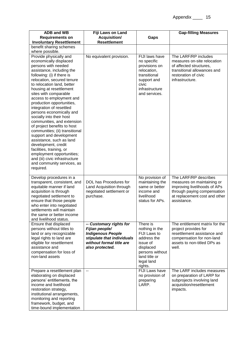| <b>ADB and WB</b><br><b>Requirements on</b>                                                                                                                                                                                                                                                                                                                                                                                                                                                                                                                                                                                                                                                                        | Fiji Laws on Land<br><b>Acquisition/</b>                                                                                                           | Gaps                                                                                                                                            | <b>Gap-filling Measures</b>                                                                                                                                        |
|--------------------------------------------------------------------------------------------------------------------------------------------------------------------------------------------------------------------------------------------------------------------------------------------------------------------------------------------------------------------------------------------------------------------------------------------------------------------------------------------------------------------------------------------------------------------------------------------------------------------------------------------------------------------------------------------------------------------|----------------------------------------------------------------------------------------------------------------------------------------------------|-------------------------------------------------------------------------------------------------------------------------------------------------|--------------------------------------------------------------------------------------------------------------------------------------------------------------------|
| <b>Involuntary Resettlement</b>                                                                                                                                                                                                                                                                                                                                                                                                                                                                                                                                                                                                                                                                                    | <b>Resettlement</b>                                                                                                                                |                                                                                                                                                 |                                                                                                                                                                    |
| benefit sharing schemes<br>where possible.                                                                                                                                                                                                                                                                                                                                                                                                                                                                                                                                                                                                                                                                         |                                                                                                                                                    |                                                                                                                                                 |                                                                                                                                                                    |
| Provide physically and<br>economically displaced<br>persons with needed<br>assistance, including the<br>following: (i) if there is<br>relocation, secured tenure<br>to relocation land, better<br>housing at resettlement<br>sites with comparable<br>access to employment and<br>production opportunities,<br>integration of resettled<br>persons economically and<br>socially into their host<br>communities, and extension<br>of project benefits to host<br>communities; (ii) transitional<br>support and development<br>assistance, such as land<br>development, credit<br>facilities, training, or<br>employment opportunities;<br>and (iii) civic infrastructure<br>and community services, as<br>required. | No equivalent provision.                                                                                                                           | FIJI laws have<br>no specific<br>provisions on<br>relocation,<br>transitional<br>support and<br>civic<br>infrastructure<br>and services.        | The LARF/RP includes<br>measures on-site relocation<br>of affected structures,<br>transitional allowances and<br>restoration of civic<br>infrastructure.           |
| Develop procedures in a<br>transparent, consistent, and<br>equitable manner if land<br>acquisition is through<br>negotiated settlement to<br>ensure that those people<br>who enter into negotiated<br>settlements will maintain<br>the same or better income<br>and livelihood status.                                                                                                                                                                                                                                                                                                                                                                                                                             | DOL has Procedures for<br>Land Acquisition through<br>negotiated settlement or<br>purchase.                                                        | No provision of<br>maintaining the<br>same or better<br>income and<br>livelihood<br>status for APs.                                             | The LARF/RP describes<br>measures on maintaining or<br>improving livelihoods of APs<br>through paying compensation<br>at replacement cost and other<br>assistance. |
| Ensure that displaced<br>persons without titles to<br>land or any recognizable<br>legal rights to land are<br>eligible for resettlement<br>assistance and<br>compensation for loss of<br>non-land assets                                                                                                                                                                                                                                                                                                                                                                                                                                                                                                           | -- Customary rights for<br>Fijian people/<br><b>Indigenous People</b><br>stipulate that individuals<br>without formal title are<br>also protected. | There is<br>nothing in the<br>FIJI Laws to<br>address the<br>issue of<br>displaced<br>persons without<br>land title or<br>legal land<br>rights. | The entitlement matrix for the<br>project provides for<br>resettlement assistance and<br>compensation for non-land<br>assets to non-titled DPs as<br>well.         |
| Prepare a resettlement plan<br>elaborating on displaced<br>persons' entitlements, the<br>income and livelihood<br>restoration strategy,<br>institutional arrangements,<br>monitoring and reporting<br>framework, budget, and<br>time-bound implementation                                                                                                                                                                                                                                                                                                                                                                                                                                                          | $\sim$                                                                                                                                             | FIJI Laws have<br>no provision of<br>preparing<br>LARP.                                                                                         | The LARF includes measures<br>on preparation of LARP for<br>subprojects involving land<br>acquisition/resettlement<br>impacts.                                     |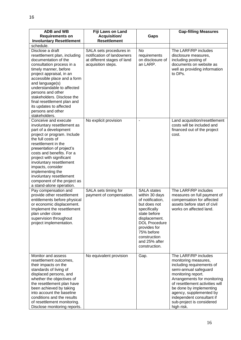| <b>ADB and WB</b><br><b>Requirements on</b><br><b>Involuntary Resettlement</b>                                                                                                                                                                                                                                                                                                                            | Fiji Laws on Land<br><b>Acquisition/</b><br><b>Resettlement</b>                                            | Gaps                                                                                                                                                                                                                              | <b>Gap-filling Measures</b>                                                                                                                                                                                                                                                                                              |
|-----------------------------------------------------------------------------------------------------------------------------------------------------------------------------------------------------------------------------------------------------------------------------------------------------------------------------------------------------------------------------------------------------------|------------------------------------------------------------------------------------------------------------|-----------------------------------------------------------------------------------------------------------------------------------------------------------------------------------------------------------------------------------|--------------------------------------------------------------------------------------------------------------------------------------------------------------------------------------------------------------------------------------------------------------------------------------------------------------------------|
| schedule.                                                                                                                                                                                                                                                                                                                                                                                                 |                                                                                                            |                                                                                                                                                                                                                                   |                                                                                                                                                                                                                                                                                                                          |
| Disclose a draft<br>resettlement plan, including<br>documentation of the<br>consultation process in a<br>timely manner, before<br>project appraisal, in an<br>accessible place and a form<br>and language(s)<br>understandable to affected<br>persons and other<br>stakeholders. Disclose the<br>final resettlement plan and<br>its updates to affected<br>persons and other<br>stakeholders.             | SALA sets procedures in<br>notification of landowners<br>at different stages of land<br>acquisition steps. | No<br>requirements<br>on disclosure of<br>an LARP.                                                                                                                                                                                | The LARF/RP includes<br>disclosure measures,<br>including posting of<br>documents on website as<br>well as providing information<br>to DPs.                                                                                                                                                                              |
| Conceive and execute<br>involuntary resettlement as<br>part of a development<br>project or program. Include<br>the full costs of<br>resettlement in the<br>presentation of project's<br>costs and benefits. For a<br>project with significant<br>involuntary resettlement<br>impacts, consider<br>implementing the<br>involuntary resettlement<br>component of the project as<br>a stand-alone operation. | No explicit provision                                                                                      | $\blacksquare$                                                                                                                                                                                                                    | Land acquisition/resettlement<br>costs will be included and<br>financed out of the project<br>cost.                                                                                                                                                                                                                      |
| Pay compensation and<br>provide other resettlement<br>entitlements before physical<br>or economic displacement.<br>Implement the resettlement<br>plan under close<br>supervision throughout<br>project implementation.                                                                                                                                                                                    | SALA sets timing for<br>payment of compensation.                                                           | <b>SALA</b> states<br>within 30 days<br>of notification,<br>but does not<br>specifically<br>state before<br>displacement.<br><b>DOL Procedure</b><br>provides for<br>75% before<br>construction<br>and 25% after<br>construction. | The LARF/RP includes<br>measures on full payment of<br>compensation for affected<br>assets before start of civil<br>works on affected land.                                                                                                                                                                              |
| Monitor and assess<br>resettlement outcomes,<br>their impacts on the<br>standards of living of<br>displaced persons, and<br>whether the objectives of<br>the resettlement plan have<br>been achieved by taking<br>into account the baseline<br>conditions and the results<br>of resettlement monitoring.<br>Disclose monitoring reports.                                                                  | No equivalent provision                                                                                    | Gap.                                                                                                                                                                                                                              | The LARF/RP includes<br>monitoring measures,<br>including requirements of<br>semi-annual safeguard<br>monitoring report.<br>Arrangements for monitoring<br>of resettlement activities will<br>be done by implementing<br>agency, supplemented by<br>independent consultant if<br>sub-project is considered<br>high risk. |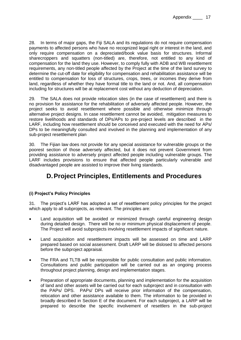28. In terms of major gaps, the Fiji SALA and its regulations do not require compensation payments to affected persons who have no recognized legal right or interest in the land, and only require compensation on a depreciated/book value basis for structures. Informal sharecroppers and squatters (non-titled) are, therefore, not entitled to any kind of compensation for the land they use. However, to comply fully with ADB and WB resettlement requirements, any non-titled people affected by the Project at the time of the land survey to determine the cut-off date for eligibility for compensation and rehabilitation assistance will be entitled to compensation for loss of structures, crops, trees, or incomes they derive from land, regardless of whether they have formal title to the land or not. And, all compensation including for structures will be at replacement cost without any deduction of depreciation.

29. The SALA does not provide relocation sites (in the case of resettlement) and there is no provision for assistance for the rehabilitation of adversely affected people. However, the project seeks to avoid resettlement where possible and otherwise minimize through alternative project designs. In case resettlement cannot be avoided, mitigation measures to restore livelihoods and standards of DPs/APs to pre-project levels are described in the LARF, including how resettlement should be conceived and executed with the need for APs/ DPs to be meaningfully consulted and involved in the planning and implementation of any sub-project resettlement plan

30. The Fijian law does not provide for any special assistance for vulnerable groups or the poorest section of those adversely affected, but it does not prevent Government from providing assistance to adversely project affected people including vulnerable groups. The LARF includes provisions to ensure that affected people particularly vulnerable and disadvantaged people are assisted to improve their living standards.

# **D.Project Principles, Entitlements and Procedures**

# <span id="page-16-0"></span>**(i) Project's Policy Principles**

31. The project's LARF has adopted a set of resettlement policy principles for the project which apply to all subprojects, as relevant. The principles are:

- Land acquisition will be avoided or minimized through careful engineering design during detailed design. There will be no or minimum physical displacement of people. The Project will avoid subprojects involving resettlement impacts of significant nature.
- Land acquisition and resettlement impacts will be assessed on time and LARP prepared based on social assessment. Draft LARP will be dislosed to affected persons before the subproject appraisal.
- The FRA and TLTB will be responsible for public consultation and public information. Consultations and public participation will be carried out as an ongoing process throughout project planning, design and implementation stages.
- Preparation of appropriate documents, planning and implementation for the acquisition of land and other assets will be carried out for each subproject and in consultation with the PAPs/ DPS. PAPs/ DPs will receive prior information of the compensation, relocation and other assistance available to them. The information to be provided in broadly described in Section E of the document. For each subproject, a LARP will be prepared to describe the specific involvement of resettlers in the sub-project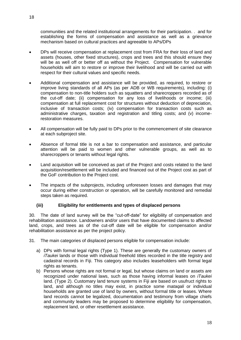communities and the related institutional arrangements for their participation. . and for establishing the forms of compensation and assistance as well as a grievance mechanism based on cultural practices and agreeable to APs/DPs

- DPs will receive compensation at replacement cost from FRA for their loss of land and assets (houses, other fixed structures), crops and trees and this should ensure they will be as well off or better off as without the Project. Compensation for vulnerable households will aim to restore or improve their livelihood and will be carried out with respect for their cultural values and specific needs.
- Additional compensation and assistance will be provided, as required, to restore or improve living standards of all APs (as per ADB or WB requirements)*,* including: (i) compensation to non-title holders such as squatters and sharecroppers recorded as of the cut-off date; (ii) compensation for any loss of livelihoods or income; (iii) compensation at full replacement cost for structures without deduction of depreciation, inclusive of transaction costs; (iv) compensation for transaction costs such as administrative charges, taxation and registration and titling costs; and (v) incomerestoration measures.
- All compensation will be fully paid to DPs prior to the commencement of site clearance at each subproject site.
- Absence of formal title is not a bar to compensation and assistance, and particular attention will be paid to women and other vulnerable groups, as well as to sharecroppers or tenants without legal rights.
- Land acquisition will be conceived as part of the Project and costs related to the land acquisition/resettlement will be included and financed out of the Project cost as part of the GoF contribution to the Project cost.
- The impacts of the subprojects, including unforeseen losses and damages that may occur during either construction or operation, will be carefully monitored and remedial steps taken as required.

### **(iii) Eligibility for entitlements and types of displaced persons**

30. The date of land survey will be the "cut-off-date" for eligibility of compensation and rehabilitation assistance. Landowners and/or users that have documented claims to affected land, crops, and trees as of the cut-off date will be eligible for compensation and/or rehabilitation assistance as per the project policy.

- 31. The main categories of displaced persons eligible for compensation include:
	- a) DPs with formal legal rights (Type 1). These are generally the customary owners of *iTaukei* lands or those with individual freehold titles recorded in the title registry and cadastral records in Fiji. This category also includes leaseholders with formal legal rights as tenants.
	- b) Persons whose rights are not formal or legal, but whose claims on land or assets are recognized under national laws, such as those having informal leases on *iTaukei* land. (Type 2). Customary land tenure systems in Fiji are based on usufruct rights to land, and although no titles may exist, in practice some *mataqali* or individual households are granted use of land by owners, without formal title or leases. Where land records cannot be legalized, documentation and testimony from village chiefs and community leaders may be proposed to determine eligibility for compensation, replacement land, or other resettlement assistance.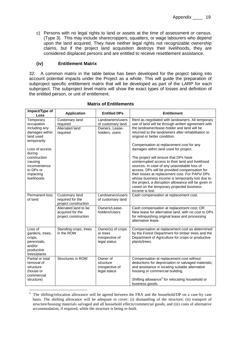c) Persons with no legal rights to land or assets at the time of assessment or census. (Type 3). This may include sharecroppers, squatters, or wage labourers who depend upon the land acquired. They have neither legal rights not recognizable ownership claims, but if the project land acquisition destroys their livelihoods, they are considered displaced persons and are entitled to receive resettlement assistance.

### **(iv) Entitlement Matrix**

-

32. A common matrix in the table below has been developed for the project taking into account potential impacts under the Project as a whole. This will guide the preparation of subproject specific entitlement matrix that will be developed as part of the LARP for each subproject. The subproject level matrix will show the exact types of losses and definition of the entitled person, or unit of entitlement.

| Impact/Type of<br><b>Loss</b>                                                                                                                                                                           | <b>Application</b>                                               | <b>Entitled DPs</b>                                                       | <b>Entitlement</b>                                                                                                                                                                                                                                                                                                                                                                                                                                                                                                                                                                                                                                                                                                                                              |
|---------------------------------------------------------------------------------------------------------------------------------------------------------------------------------------------------------|------------------------------------------------------------------|---------------------------------------------------------------------------|-----------------------------------------------------------------------------------------------------------------------------------------------------------------------------------------------------------------------------------------------------------------------------------------------------------------------------------------------------------------------------------------------------------------------------------------------------------------------------------------------------------------------------------------------------------------------------------------------------------------------------------------------------------------------------------------------------------------------------------------------------------------|
| Temporary<br>occupation<br>including any<br>damages within<br>land used<br>temporarily<br>Loss of access<br>during<br>construction<br>causing<br>inconvenience<br>to DPs or<br>impacting<br>livelihoods | Customary land<br>required<br>Alienated land<br>required         | Landowners/users<br>of customary land<br>Owners, Lease-<br>holders, users | Rent as negotiated with landowners. All temporary<br>use of land will be through written agreement with<br>the landowner/lease-holder and land will be<br>returned to the landowners after rehabilitation to<br>original or better condition.<br>Compensation at replacement cost for any<br>damages within land used for project.<br>The project will ensure that DPs have<br>uninterrupted access to their land and livelihood<br>sources. In case of any unavoidable loss of<br>access, DPs will be provided compensation for<br>their losses at replacement cost. For PAPs/ DPs<br>whose business income is temporarily lost due to<br>the project, a disruption allowance will be given in<br>cased on the temporary projected business<br>income is lost. |
| Permanent loss<br>of land                                                                                                                                                                               | Customary land<br>required for the<br>project construction       | Landowners/users<br>of customary land                                     | Cash compensation at replacement cost.                                                                                                                                                                                                                                                                                                                                                                                                                                                                                                                                                                                                                                                                                                                          |
|                                                                                                                                                                                                         | Alienated land to be<br>acquired for the<br>project construction | Owners/Lease-<br>holders/Users                                            | Cash compensation at replacement cost; OR<br>New lease for alternative land, with no cost to DPs<br>for relinquishing original lease and processing<br>alternative lease.                                                                                                                                                                                                                                                                                                                                                                                                                                                                                                                                                                                       |
| Loss of<br>gardens, trees,<br>crops,<br>perennials,<br>and/or<br>productive<br>trees/plants                                                                                                             | Standing crops, trees<br>in the ROW                              | Owner(s) of crops<br>or trees<br>irrespective of<br>legal status          | Compensation at replacement cost as determined<br>by the Forest Department for timber trees and the<br>Department of Agriculture for crops or productive<br>plants/trees.                                                                                                                                                                                                                                                                                                                                                                                                                                                                                                                                                                                       |
| Partial or total<br>removal of<br>structure<br>(house or<br>commercial<br>structure)                                                                                                                    | Structures in ROW                                                | Owner of<br>structure<br>irrespective of<br>legal status                  | Compensation at replacement cost without<br>deductions for depreciation or salvaged materials;<br>and assistance in locating suitable alternative<br>housing or commercial building.<br>Shifting allowance <sup>4</sup> for relocating household or<br>business goods.                                                                                                                                                                                                                                                                                                                                                                                                                                                                                          |

#### **Matrix of Entitlements**

The shifting/relocation allowance will be agreed between the FRA and the household/DP on a case-by case basis. The shifting allowance will be adequate to cover: (i) dismantling of the structure; (ii) transport of structure/housing materials salvaged and all household effects/commercial goods; and (iii) costs of alternative accommodation, if required, while the structure is being re-built.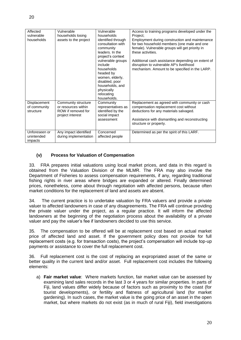| Affected<br>vulnerable<br>households      | Vulnerable<br>households losing<br>assets to the project                             | Vulnerable<br>households<br>identified through<br>consultation with<br>community<br>leaders. In the<br>project's context<br>vulnerable groups<br>include<br>households<br>headed by<br>women, elderly,<br>disabled, poor<br>households, and<br>physically<br>relocating<br>households. | Access to training programs developed under the<br>Project;<br>Employment during construction and maintenance<br>for two household members (one male and one<br>female). Vulnerable groups will get priority in<br>these activities.<br>Additional cash assistance depending on extent of<br>disruption to vulnerable AP's livelihood<br>mechanism. Amount to be specified in the LARP. |
|-------------------------------------------|--------------------------------------------------------------------------------------|----------------------------------------------------------------------------------------------------------------------------------------------------------------------------------------------------------------------------------------------------------------------------------------|-----------------------------------------------------------------------------------------------------------------------------------------------------------------------------------------------------------------------------------------------------------------------------------------------------------------------------------------------------------------------------------------|
| Displacement<br>of community<br>structure | Community structure<br>or resources within<br>ROW if removed for<br>project interest | Community<br>representatives as<br>identified by the<br>social impact<br>assessment                                                                                                                                                                                                    | Replacement as agreed with community or cash<br>compensation replacement cost without<br>deductions for any materials salvaged.<br>Assistance with dismantling and reconstructing<br>structure or property.                                                                                                                                                                             |
| Unforeseen or<br>unintended<br>impacts    | Any impact identified<br>during implementation                                       | Concerned<br>affected people                                                                                                                                                                                                                                                           | Determined as per the spirit of this LARF.                                                                                                                                                                                                                                                                                                                                              |

### **(v) Process for Valuation of Compensation**

33. FRA prepares initial valuations using local market prices, and data in this regard is obtained from the Valuation Division of the MLMR. The FRA may also involve the Department of Fisheries to assess compensation requirements, if any, regarding traditional fishing rights in river areas where bridges are expanded or altered. Finally determined prices, nonetheless, come about through negotiation with affected persons, because often market conditions for the replacement of land and assets are absent.

34. The current practice is to undertake valuation by FRA valuers and provide a private valuer to affected landowners in case of any disagreements. The FRA will continue providing the private valuer under the project, as a regular practice. It will inform the affected landowners at the beginning of the negotiation process about the availability of a private valuer and pay the valuer's fee if landowners decided to use this service.

35. The compensation to be offered will be at replacement cost based on actual market price of affected land and asset. If the government policy does not provide for full replacement costs (e.g. for transaction costs), the project's compensation will include top-up payments or assistance to cover the full replacement cost.

36. Full replacement cost is the cost of replacing an expropriated asset of the same or better quality in the current land and/or asset. Full replacement cost includes the following elements:

a) **Fair market value**: Where markets function, fair market value can be assessed by examining land sales records in the last 3 or 4 years for similar properties. In parts of Fiji, land values differ widely because of factors such as proximity to the coast (for tourist developments), or fertility and flatness of agricultural land (for market gardening). In such cases, the market value is the going price of an asset in the open market, but where markets do not exist (as in much of rural Fiji), field investigations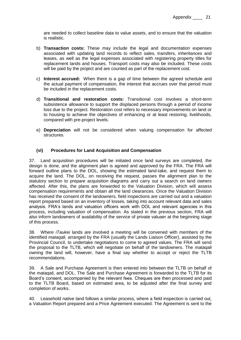are needed to collect baseline data to value assets, and to ensure that the valuation is realistic.

- b) **Transaction costs:** These may include the legal and documentation expenses associated with updating land records to reflect sales, transfers, inheritances and leases, as well as the legal expenses associated with registering property titles for replacement lands and houses. Transport costs may also be included. These costs will be paid by the project and are counted as part of the replacement cost.
- c) **Interest accrued:** When there is a gap of time between the agreed schedule and the actual payment of compensation, the interest that accrues over that period must be included in the replacement costs.
- d) **Transitional and restoration costs:** Transitional cost involves a short-term subsistence allowance to support the displaced persons through a period of income loss due to the project. Restoration cost refers to necessary improvements on land or to housing to achieve the objectives of enhancing or at least restoring, livelihoods, compared with pre-project levels.
- e) **Depreciation** will not be considered when valuing compensation for affected structures.

### **(vi) Procedures for Land Acquisition and Compensation**

37. Land acquisition procedures will be initiated once land surveys are completed, the design is done, and the alignment plan is agreed and approved by the FRA. The FRA will forward outline plans to the DOL, showing the estimated land-take, and request them to acquire the land. The DOL, on receiving the request, passes the alignment plan to the statutory section to prepare acquisition diagrams and carry out a search on land owners affected. After this, the plans are forwarded to the Valuation Division, which will assess compensation requirements and obtain all the land clearances. Once the Valuation Division has received the consent of the landowners, field inspections are carried out and a valuation report prepared based on an inventory of losses, taking into account relevant data and sales analysis. FRA's lands and valuation officers work with DOL and relevant agencies in this process, including valuation of compensation. As stated in the previous section, FRA will also inform landowners of availability of the service of private valuaer at the beginning stage of this process.

38. Where *iTaukei* lands are involved a meeting will be convened with members of the identified *mataqali,* arranged by the FRA (usually the Lands Liaison Officer), assisted by the Provincial Council, to undertake negotiations to come to agreed values. The FRA will send the proposal to the TLTB, which will negotiate on behalf of the landowners. The *mataqali* owning the land will, however, have a final say whether to accept or reject the TLTB recommendations.

39. A Sale and Purchase Agreement is then entered into between the TLTB on behalf of the *mataqali*, and DOL. The Sale and Purchase Agreement is forwarded to the TLTB for its Board's consent, accompanied by the relevant fees. Cheques are then processed and paid to the TLTB Board, based on estimated area, to be adjusted after the final survey and completion of works.

40. Leasehold native land follows a similar process, where a field inspection is carried out, a Valuation Report prepared and a Price Agreement executed. The Agreement is sent to the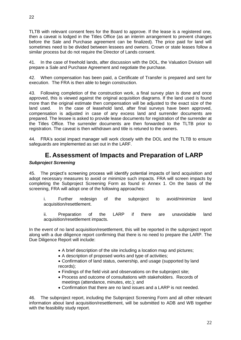TLTB with relevant consent fees for the Board to approve. If the lease is a registered one, then a caveat is lodged in the Titles Office (as an interim arrangement to prevent changes before the Sale and Purchase agreement can be finalized). The price paid for land will sometimes need to be divided between lessees and owners. Crown or state leases follow a

similar process but do not require the Director of Lands consent.

41. In the case of freehold lands, after discussion with the DOL, the Valuation Division will prepare a Sale and Purchase Agreement and negotiate the purchase.

42. When compensation has been paid, a Certificate of Transfer is prepared and sent for execution. The FRA is then able to begin construction.

43. Following completion of the construction work, a final survey plan is done and once approved, this is viewed against the original acquisition diagrams. If the land used is found more than the original estimate then compensation will be adjusted to the exact size of the land used. In the case of leasehold land, after final surveys have been approved, compensation is adjusted in case of any excess land and surrender documents are prepared. The lessee is asked to provide lease documents for registration of the surrender at the Titles Office. The surrender documents are then forwarded to the TLTB prior to registration. The caveat is then withdrawn and title is retuned to the owners.

<span id="page-21-0"></span>44. FRA's social impact manager will work closely with the DOL and the TLTB to ensure safeguards are implemented as set out in the LARF.

# **E. Assessment of Impacts and Preparation of LARP**

#### <span id="page-21-1"></span>*Subproject Screening*

45. The project's screening process will identify potential impacts of land acquisition and adopt necessary measures to avoid or minimize such impacts. FRA will screen impacts by completing the Subproject Screening Form as found in Annex 1. On the basis of the screening, FRA will adopt one of the following approaches:

i. Further redesign of the subproject to avoid/minimize land acquisition/resettlement.

ii. Preparation of the LARP if there are unavoidable land acquisition/resettlement impacts.

In the event of no land acquisition/resettlement, this will be reported in the subproject report along with a due diligence report confirming that there is no need to prepare the LARP. The Due Diligence Report will include:

- A brief description of the site including a location map and pictures;
- A description of proposed works and type of activities;

 Confirmation of land status, ownership, and usage (supported by land records);

- Findings of the field visit and observations on the subproject site;
- Process and outcome of consultations with stakeholders. Records of meetings (attendance, minutes, etc.); and
- Confirmation that there are no land issues and a LARP is not needed.

46. The subproject report, including the Subproject Screening Form and all other relevant information about land acquisition/resettlement, will be submitted to ADB and WB together with the feasibility study report.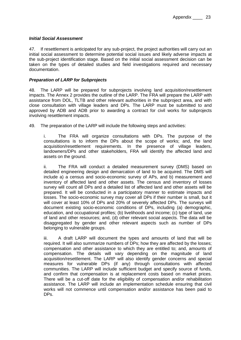#### <span id="page-22-0"></span>*Initial Social Assessment*

47. If resettlement is anticipated for any sub-project, the project authorities will carry out an initial social assessment to determine potential social issues and likely adverse impacts at the sub-project identification stage. Based on the initial social assessment decision can be taken on the types of detailed studies and field investigations required and necessary documentation.

#### <span id="page-22-1"></span>*Preparation of LARP for Subprojects*

48. The LARP will be prepared for subprojects involving land acquisition/resettlement impacts. The Annex 2 provides the outline of the LARP. The FRA will prepare the LARP with assistance from DOL, TLTB and other relevant authorities in the subproject area, and with close consultation with village leaders and DPs. The LARP must be submitted to and approved by ADB and ADB prior to awarding a contract for civil works for subprojects involving resettlement impacts.

49. The preparation of the LARP will include the following steps and activities:

i. The FRA will organize consultations with DPs. The purpose of the consultations is to inform the DPs about the scope of works; and, the land acquisition/resettlement requirements. In the presence of village leaders, landowners/DPs and other stakeholders, FRA will identify the affected land and assets on the ground.

ii. The FRA will conduct a detailed measurement survey (DMS) based on detailed engineering design and demarcation of land to be acquired. The DMS will include a) a census and socio-economic survey of APs, and b) measurement and inventory of affected land and other assets. The census and inventory of losses survey will count all DPs and a detailed list of affected land and other assets will be prepared. It will be conducted in a participatory manner to estimate impacts and losses. The socio-economic survey may cover all DPs if their number is small, but it will cover at least 10% of DPs and 20% of severely affected DPs. The surveys will document existing socio-economic conditions of DPs, including (a) demographic, education, and occupational profiles; (b) livelihoods and income; (c) type of land, use of land and other resources; and, (d) other relevant social aspects. The data will be disaggregated by gender and other relevant aspects such as number of DPs belonging to vulnerable groups.

iii. A draft LARP will document the types and amounts of land that will be required. It will also summarize numbers of DPs; how they are affected by the losses; compensation and other assistance to which they are entitled to; and, amounts of compensation. The details will vary depending on the magnitude of land acquisition/resettlement. The LARP will also identify gender concerns and special measures for vulnerable DPs (if any) through consultations with affected communities. The LARP will include sufficient budget and specify source of funds, and confirm that compensation is at replacement costs based on market prices. There will be a cut-off date for the eligibility of compensation and/or rehabilitation assistance. The LARP will include an implementation schedule ensuring that civil works will not commence until compensation and/or assistance has been paid to DPs.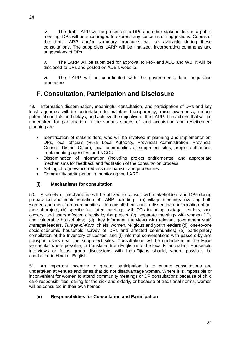iv. The draft LARP will be presented to DPs and other stakeholders in a public meeting. DPs will be encouraged to express any concerns or suggestions. Copies of the draft LARP and/or summary brochures will be available during these consultations. The subproject LARP will be finalized, incorporating comments and suggestions of DPs.

v. The LARP will be submitted for approval to FRA and ADB and WB. It will be disclosed to DPs and posted on ADB's website.

vi. The LARP will be coordinated with the government's land acquisition procedure.

# <span id="page-23-0"></span>**F. Consultation, Participation and Disclosure**

49. Information dissemination, meaningful consultation, and participation of DPs and key local agencies will be undertaken to maintain transparency, raise awareness, reduce potential conflicts and delays, and achieve the objective of the LARP. The actions that will be undertaken for participation in the various stages of land acquisition and resettlement planning are:

- Identification of stakeholders, who will be involved in planning and implementation: DPs, local officials (Rural Local Authority, Provincial Administration, Provincial Council, District Office), local communities at subproject sites, project authorities, implementing agencies, and NGOs.
- Dissemination of information (including project entitlements), and appropriate mechanisms for feedback and facilitation of the consultation process.
- Setting of a grievance redress mechanism and procedures.
- Community participation in monitoring the LARP.

### **(i) Mechanisms for consultation**

50. A variety of mechanisms will be utilized to consult with stakeholders and DPs during preparation and implementation of LARP including: (a) village meetings involving both women and men from communities - to consult them and to disseminate information about the subproject; (b) specific facilitated meetings with DPs including mataqali leaders, land owners, and users affected directly by the project; (c) separate meetings with women DPs and vulnerable households; (d) key informant interviews with relevant government staff, *mataqali* leaders, *Turaga-ni-Koro*, chiefs, women, religious and youth leaders (d) one-to-one socio-economic household survey of DPs and affected communities; (e) participatory compilation of the Inventory of Losses, and (f) informal conversations with passers-by and transport users near the subproject sites. Consultations will be undertaken in the Fijian vernacular where possible, or translated from English into the local Fijian dialect. Household interviews or focus group discussions with Indo-Fijians should, where possible, be conducted in Hindi or English.

51. An important incentive to greater participation is to ensure consultations are undertaken at venues and times that do not disadvantage women. Where it is impossible or inconvenient for women to attend community meetings or DP consultations because of child care responsibilities, caring for the sick and elderly, or because of traditional norms, women will be consulted in their own homes.

### **(ii) Responsibilities for Consultation and Participation**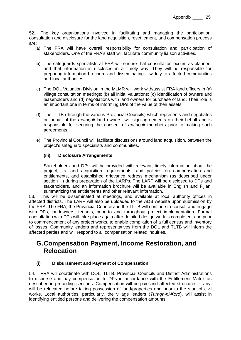52. The key organisations involved in facilitating and managing the participation, consultation and disclosure for the land acquisition, resettlement, and compensation process are:

- a) The FRA will have overall responsibility for consultation and participation of stakeholders. One of the FRA's staff will facilitate community liaison activities.
- **b)** The safeguards specialists at FRA will ensure that consultation occurs as planned, and that information is disclosed in a timely way. They will be responsible for preparing information brochure and disseminating it widely to affected communities and local authorities.
- c) The DOL Valuation Division in the MLMR will work with/assist FRA land officers in (a) village consultation meetings; (b) all initial valuations; (c) identification of owners and leaseholders and (d) negotiations with land owners for purchase of land. Their role is an important one in terms of informing DPs of the value of their assets.
- d) The TLTB (through the various Provincial Councils) which represents and negotiates on behalf of the *mataqali* land owners, will sign agreements on their behalf and is responsible for securing the consent of *mataqali* members prior to making such agreements.
- e) The Provincial Council will facilitate discussions around land acquisition, between the project's safeguard specialists and communities.

### **(iii) Disclosure Arrangements**

Stakeholders and DPs will be provided with relevant, timely information about the project, its land acquisition requirements, and policies on compensation and entitlements, and established grievance redress mechanism (as described under section H) during preparation of the LARPs. The LARP will be disclosed to DPs and stakeholders, and an information brochure will be available in English and Fijian, summarizing the entitlements and other relevant information.

53. This will be disseminated at meetings, and available at local authority offices in affected districts. The LARP will also be uploaded to the ADB website upon submission by the FRA. The FRA, the Provincial Council and the TLTB will continue to consult and engage with DPs, landowners, tenants, prior to and throughout project implementation. Formal consultation with DPs will take place again after detailed design work is completed, and prior to commencement of any project works, to enable compilation of a full census and inventory of losses. Community leaders and representatives from the DOL and TLTB will inform the affected parties and will respond to all compensation related inquiries.

# <span id="page-24-0"></span>**G.Compensation Payment, Income Restoration, and Relocation**

### **(i) Disbursement and Payment of Compensation**

54. FRA will coordinate with DOL, TLTB, Provincial Councils and District Administrations to disburse and pay compensation to DPs in accordance with the Entitlement Matrix as described in preceding sections. Compensation will be paid and affected structures, if any, will be relocated before taking possession of land/properties and prior to the start of civil works. Local authorities, particularly, the village leaders (*Turaga-ni-Koro*), will assist in identifying entitled persons and delivering the compensation amounts.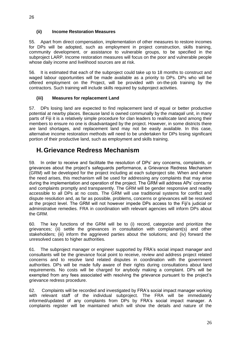#### **(ii) Income Restoration Measures**

55. Apart from direct compensation, implementation of other measures to restore incomes for DPs will be adopted, such as employment in project construction, skills training, community development, or assistance to vulnerable groups, to be specified in the subproject LARP. Income restoration measures will focus on the poor and vulnerable people whose daily income and livelihood sources are at risk.

56. It is estimated that each of the subproject could take up to 18 months to construct and waged labour opportunities will be made available as a priority to DPs. DPs who will be offered employment on the Project, will be provided with on-the-job training by the contractors. Such training will include skills required by subproject activities.

#### **(iii) Measures for replacement Land**

57. DPs losing land are expected to find replacement land of equal or better productive potential at nearby places. Because land is owned communally by the *mataqali* unit, in many parts of Fiji it is a relatively simple procedure for clan leaders to reallocate land among their members to ensure no one is disadvantaged by the project. However, in some districts there are land shortages, and replacement land may not be easily available. In this case, alternative income restoration methods will need to be undertaken for DPs losing significant portion of their productive land, such as employment and skills training.

# <span id="page-25-0"></span>**H.Grievance Redress Mechanism**

59. In order to receive and facilitate the resolution of DPs' any concerns, complaints, or grievances about the project's safeguards performance, a Grievance Redress Mechanism (GRM) will be developed for the project including at each subproject site. When and where the need arises, this mechanism will be used for addressing any complaints that may arise during the implementation and operation of the project. The GRM will address APs' concerns and complaints promptly and transparently. The GRM will be gender responsive and readily accessible to all DPs at no costs. The GRM will use traditional systems for conflict and dispute resolution and, as far as possible, problems, concerns or grievances will be resolved at the project level. The GRM will not however impede DPs access to the Fiji's judicial or administrative remedies. FRA in coordination with relevant agencies will inform DPs about the GRM.

60. The key functions of the GRM will be to (i) record, categorize and prioritize the grievances; (ii) settle the grievances in consultation with complainant(s) and other stakeholders; (iii) inform the aggrieved parties about the solutions; and (iv) forward the unresolved cases to higher authorities.

61. The subproject manager or engineer supported by FRA's social impact manager and consultants will be the grievance focal point to receive, review and address project related concerns and to resolve land related disputes in coordination with the government authorities. DPs will be made fully aware of their rights during consultations about land requirements. No costs will be charged for anybody making a complaint. DPs will be exempted from any fees associated with resolving the grievance pursuant to the project's grievance redress procedure.

62. Complaints will be recorded and investigated by FRA's social impact manager working with relevant staff of the individual subproject. The FRA will be immediately informed/updated of any complaints from DPs by FRA's social impact manager. A complaints register will be maintained which will show the details and nature of the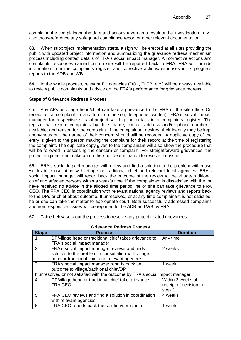complaint, the complainant, the date and actions taken as a result of the investigation. It will also cross-reference any safeguard compliance report or other relevant documentation.

63. When subproject implementation starts, a sign will be erected at all sites providing the public with updated project information and summarizing the grievance redress mechanism process including contact details of FRA's social impact manager. All corrective actions and complaints responses carried out on site will be reported back to FRA. FRA will include information from the complaints register and corrective actions/responses in its progress reports to the ADB and WB.

64. In the whole process, relevant Fiji agencies (DOL, TLTB, etc.) will be always available to review public complaints and advice on the FRA's performance for grievance redress.

#### **Steps of Grievance Redress Process**

65. Any APs or village head/chief can take a grievance to the FRA or the site office. On receipt of a complaint in any form (in person, telephone, written), FRA's social impact manager for respective site/subproject will log the details in a complaints register. The register will record complaints by date, name, contact address and/or phone number if available, and reason for the complaint. If the complainant desires, their identity may be kept anonymous but the nature of their concern should still be recorded. A duplicate copy of the entry is given to the person making the complaint for their record at the time of registering the complaint. The duplicate copy given to the complainant will also show the procedure that will be followed in assessing the concern or complaint. For straightforward grievances, the project engineer can make an on-the-spot determination to resolve the issue.

66. FRA's social impact manager will review and find a solution to the problem within two weeks in consultation with village or traditional chief and relevant local agencies. FRA's social impact manager will report back the outcome of the review to the village/traditional chief and affected persons within a week's time. If the complainant is dissatisfied with the, or have received no advice in the allotted time period, he or she can take grievance to FRA CEO. The FRA CEO in coordination with relevant national agency reviews and reports back to the DPs or chief about outcome. If unresolved, or at any time complainant is not satisfied, he or she can take the matter to appropriate court. Both successfully addressed complaints and non-responsive issues will be reported to the ADB and WB by FRA.

67. Table below sets out the process to resolve any project related grievances.

| <b>Stage</b>   | <b>Process</b>                                                                 | <b>Duration</b>        |
|----------------|--------------------------------------------------------------------------------|------------------------|
|                | DP/village head or traditional chief takes grievance to                        | Any time               |
|                | FRA's social impact manager                                                    |                        |
| $\overline{2}$ | FRA's social impact manager reviews and finds                                  | 2 weeks                |
|                | solution to the problem in consultation with village                           |                        |
|                | head or traditional chief and relevant agencies                                |                        |
| 3              | FRA's social impact manager reports back an                                    | 1 week                 |
|                | outcome to village/traditional chief/DP                                        |                        |
|                | If unresolved or not satisfied with the outcome by FRA's social impact manager |                        |
| $\overline{4}$ | DP/village head or traditional chief take grievance                            | Within 2 weeks of      |
|                | FRA CEO.                                                                       | receipt of decision in |
|                |                                                                                | step 3                 |
| 5              | FRA CEO reviews and find a solution in coordination                            | 4 weeks                |
|                | with relevant agencies                                                         |                        |
| -6             | FRA CEO reports back the solution/decision to                                  | 1 week                 |

### **Grievance Redress Process**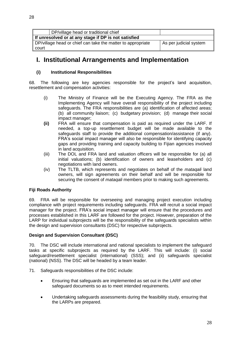|       | DP/village head or traditional chief                                                  |  |  |  |
|-------|---------------------------------------------------------------------------------------|--|--|--|
|       | If unresolved or at any stage if DP is not satisfied                                  |  |  |  |
|       | DP/village head or chief can take the matter to appropriate<br>As per judicial system |  |  |  |
| court |                                                                                       |  |  |  |

# <span id="page-27-0"></span>**I. Institutional Arrangements and Implementation**

### **(i) Institutional Responsibilities**

68. The following are key agencies responsible for the project's land acquisition, resettlement and compensation activities:

- (i) The Ministry of Finance will be the Executing Agency. The FRA as the Implementing Agency will have overall responsibility of the project including safeguards. The FRA responsibilities are (a) identification of affected areas; (b) all community liaison; (c) budgetary provision; (d) manage their social impact manager;
- **(ii)** FRA will ensure that compensation is paid as required under the LARF. If needed, a top-up resettlement budget will be made available to the safeguards staff to provide the additional compensation/assistance (if any). FRA's social impact manager will also be responsible for identifying capacity gaps and providing training and capacity building to Fijian agencies involved in land acquisition.
- (iii) The DOL and FRA land and valuation officers will be responsible for (a) all initial valuations; (b) identification of owners and leaseholders and (c) negotiations with land owners.
- (iv) The TLTB, which represents and negotiates on behalf of the *mataqali* land owners, will sign agreements on their behalf and will be responsible for securing the consent of *mataqali* members prior to making such agreements.

### **Fiji Roads Authority**

69. FRA will be responsible for overseeing and managing project execution including compliance with project requirements including safeguards. FRA will recruit a social impact manager for the project. FRA's social impact manager will ensure that the procedures and processes established in this LARF are followed for the project. However, preparation of the LARP for individual subprojects will be the responsibility of the safeguards specialists within the design and supervision consultants (DSC) for respective subprojects.

### **Design and Supervision Consultant (DSC)**

70. The DSC will include international and national specialists to implement the safeguard tasks at specific subprojects as required by the LARF. This will include: (i) social safeguard/resettlement specialist (international) (SSS); and (ii) safeguards specialist (national) (NSS). The DSC will be headed by a team leader.

- 71. Safeguards responsibilities of the DSC include:
	- Ensuring that safeguards are implemented as set out in the LARF and other safeguard documents so as to meet intended requirements.
	- Undertaking safeguards assessments during the feasibility study, ensuring that the LARPs are prepared.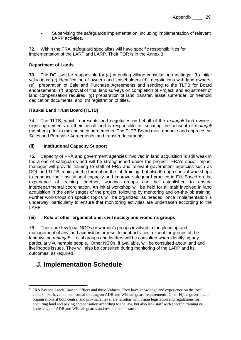Supervising the safeguards implementation, including implementation of relevant LARP activities.

72. Within the FRA, safeguard specialists will have specific responsibilities for implementation of the LARF and LARP. Their TOR is in the Annex 3.

# **Department of Lands**

**73.** The DOL will be responsible for (a) attending village consultation meetings; (b) initial valuations; (c) identification of owners and leaseholders (d) negotiations with land owners; (e) preparation of Sale and Purchase Agreements and sending to the TLTB for Board endorsement; (f) approval of final land surveys on completion of Project, and adjustment of land compensation required; (g) preparation of land transfer, lease surrender, or freehold dedication documents; and (h) registration of titles.

### **iTaukei Land Trust Board (TLTB)**

74. The TLTB, which represents and negotiates on behalf of the *mataqali* land owners, signs agreements on their behalf and is responsible for securing the consent of *mataqali* members prior to making such agreements. The TLTB Board must endorse and approve the Sales and Purchase Agreements, and transfer documents.

#### **(ii) Institutional Capacity Support**

**75.** Capacity of FRA and government agencies involved in land acquisition is still weak in the areas of safeguards and will be strengthened under the project.<sup>5</sup> FRA's social impact manager will provide training to staff of FRA and relevant government agencies such as DOL and TLTB, mainly in the form of on-the-job training, but also through special workshops to enhance their institutional capacity and improve safeguard practice in Fiji. Based on the experience of training together, working groups can be established to ensure interdepartmental coordination. An initial workshop will be held for all staff involved in land acquisition in the early stages of the project, following by mentoring and on-the-job training. Further workshops on specific topics will be organized, as needed, once implementation is underway, particularly to ensure that monitoring activities are undertaken according to the LARF.

### **(iii) Role of other organisations: civil society and women's groups**

76. There are few local NGOs or women's groups involved in the planning and management of any land acquisition or resettlement activities, except for groups of the landowning *mataqali.* Local groups and leaders will be consulted when identifying any particularly vulnerable people. Other NGOs, if available, will be consulted about land and livelihoods issues. They will also be consulted during monitoring of the LARP and its outcomes, as required.

# <span id="page-28-0"></span>**J. Implementation Schedule**

<sup>&</sup>lt;u>.</u> 5 FRA has one Lands Liaison Officer and three Valuers. They have knowledge and experience on the local context, but have not had formal training on ADB and WB safeguard requirements. Other Fijian government organisations at both central and provincial level are familiar with Fijian legislation and regulations for acquiring land and paying compensation according to the law, but also lack staff with specific training or knowledge of ADB and WB safeguards and resettlement issues.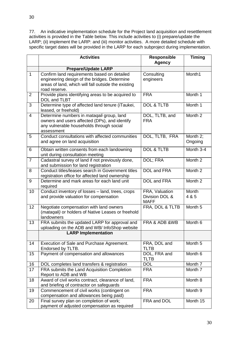77. An indicative implementation schedule for the Project land acquisition and resettlement activities is provided in the Table below. This include activities to (i) prepare/update the LARP; (ii) implement the LARP: and (iii) monitor activities. A more detailed schedule with specific target dates will be provided in the LARP for each subproject during implementation.

|                | <b>Activities</b>                                                                                                                                                   | <b>Responsible</b><br><b>Agency</b>             | <b>Timing</b>       |
|----------------|---------------------------------------------------------------------------------------------------------------------------------------------------------------------|-------------------------------------------------|---------------------|
|                | <b>Prepare/Update LARP</b>                                                                                                                                          |                                                 |                     |
| $\mathbf{1}$   | Confirm land requirements based on detailed<br>engineering design of the bridges. Determine<br>areas of land, which will fall outside the existing<br>road reserve. | Consulting<br>engineers                         | Month1              |
| 2              | Provide plans identifying areas to be acquired to<br>DOL and TLBT                                                                                                   | <b>FRA</b>                                      | Month 1             |
| 3              | Determine type of affected land tenure (iTaukei,<br>leased, or freehold)                                                                                            | <b>DOL &amp; TLTB</b>                           | Month 1             |
| $\overline{4}$ | Determine numbers in <i>mataqali</i> group, land<br>owners and users affected (DPs), and identify<br>any vulnerable households through social<br>assessment         | DOL, TLTB, and<br><b>FRA</b>                    | Month <sub>2</sub>  |
| 5              | Conduct consultations with affected communities<br>and agree on land acquisition                                                                                    | DOL, TLTB, FRA                                  | Month 2;<br>Ongoing |
| 6              | Obtain written consents from each landowning<br>unit during consultation meeting                                                                                    | <b>DOL &amp; TLTB</b>                           | Month 3-4           |
| $\overline{7}$ | Cadastral survey of land if not previously done,<br>and submission for land registration                                                                            | DOL; FRA                                        | Month 2             |
| 8              | Conduct titles/leases search in Government titles<br>registration office for affected land ownership                                                                | DOL and FRA                                     | Month 2             |
| 9              | Determine and mark areas for each land unit<br>required                                                                                                             | DOL and FRA                                     | Month 2             |
| 10             | Conduct inventory of losses - land, trees, crops<br>and provide valuation for compensation                                                                          | FRA, Valuation<br>Division DOL &<br><b>MAFF</b> | Month<br>4 & 5      |
| 12             | Negotiate compensation with land owners<br>(mataqali) or holders of Native Leases or freehold<br>landowners                                                         | FRA, DOL & TLTB                                 | Month 5             |
| 13             | FRA submits the updated LARP for approval and<br>uploading on the ADB and WB/ InfoShop website                                                                      | FRA & ADB &WB                                   | Month 6             |
|                | <b>LARP Implementation</b>                                                                                                                                          |                                                 |                     |
| 14             | Execution of Sale and Purchase Agreement.<br>Endorsed by TLTB.                                                                                                      | FRA, DOL and<br><b>TLTB</b>                     | Month 5             |
| 15             | Payment of compensation and allowances                                                                                                                              | DOL, FRA and<br><b>TLTB</b>                     | Month 6             |
| 16             | DOL completes land transfers & registration                                                                                                                         | <b>DOL</b>                                      | Month 7             |
| 17             | FRA submits the Land Acquisition Completion<br>Report to ADB and WB                                                                                                 | <b>FRA</b>                                      | Month 7             |
| 18             | Award of civil works contract, clearance of land,<br>and briefing of contractor on safeguards                                                                       | <b>FRA</b>                                      | Month 8             |
| 19             | Commencement of civil works (contingent on<br>compensation and allowances being paid)                                                                               | <b>FRA</b>                                      | Month 9             |
| 20             | Final survey plan on completion of work;<br>payment of adjusted compensation as required                                                                            | FRA and DOL                                     | Month 15            |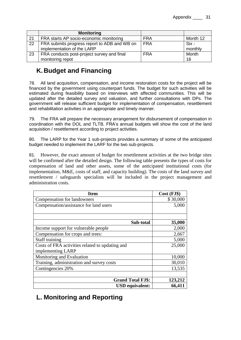|    | <b>Monitoring</b>                                                          |            |                  |
|----|----------------------------------------------------------------------------|------------|------------------|
| 21 | FRA starts AP socio-economic monitoring                                    | <b>FRA</b> | Month 12         |
| 22 | FRA submits progress report to ADB and WB on<br>implementation of the LARP | <b>FRA</b> | Six -<br>monthly |
| 23 | FRA conducts post-project survey and final<br>monitoring repot             | <b>FRA</b> | Month<br>16      |

# <span id="page-30-0"></span>**K.Budget and Financing**

78. All land acquisition, compensation, and income restoration costs for the project will be financed by the government using counterpart funds. The budget for such activities will be estimated during feasibility based on interviews with affected communities. This will be updated after the detailed survey and valuation, and further consultations with DPs. The government will release sufficient budget for implementation of compensation, resettlement and rehabilitation activities in an appropriate and timely manner.

79. The FRA will prepare the necessary arrangement for disbursement of compensation in coordination with the DOL and TLTB. FRA's annual budgets will show the cost of the land acquisition / resettlement according to project activities.

80. The LARP for the Year 1 sub-projects provides a summary of some of the anticipated budget needed to implement the LARF for the two sub-projects.

81. However, the exact amount of budget for resettlement activities at the two bridge sites will be confirmed after the detailed design. The following table presents the types of costs for compensation of land and other assets, some of the anticipated institutional costs (for implementation, M&E, costs of staff, and capacity building). The costs of the land survey and resettlement / safeguards specialists will be included in the project management and administration costs.

| <b>Item</b>                                     | Cost (FJ\$) |
|-------------------------------------------------|-------------|
| <b>Compensation for landowners</b>              | \$30,000    |
| Compensation/assistance for land users          | 5,000       |
| Sub-total                                       | 35,000      |
| Income support for vulnerable people            | 2,000       |
| Compensation for crops and trees:               | 2,667       |
| <b>Staff training</b>                           | 5,000       |
| Costs of FRA activities related to updating and | 25,000      |
| implementing LARP                               |             |
| Monitoring and Evaluation                       | 10,000      |
| Training, administration and survey costs       | 30,010      |
| Contingencies 20%                               | 13,535      |
|                                                 |             |
| <b>Grand Total FJ\$:</b>                        | 123,212     |
| <b>USD</b> equivalent:                          | 66,411      |

# <span id="page-30-1"></span>**L. Monitoring and Reporting**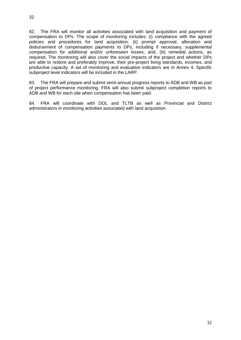82. The FRA will monitor all activities associated with land acquisition and payment of compensation to DPs. The scope of monitoring includes: (i) compliance with the agreed policies and procedures for land acquisition; (ii) prompt approval, allocation and disbursement of compensation payments to DPs, including if necessary, supplemental compensation for additional and/or unforeseen losses; and, (iii) remedial actions, as required. The monitoring will also cover the social impacts of the project and whether DPs are able to restore and preferably improve, their pre-project living standards, incomes, and productive capacity. A set of monitoring and evaluation indicators are in Annex 4. Specific subproject level indicators will be included in the LARP.

83. The FRA will prepare and submit semi-annual progress reports to ADB and WB as part of project performance monitoring. FRA will also submit subproject completion reports to ADB and WB for each site when compensation has been paid.

84. FRA will coordinate with DOL and TLTB as well as Provincial and District administrators in monitoring activities associated with land acquisition.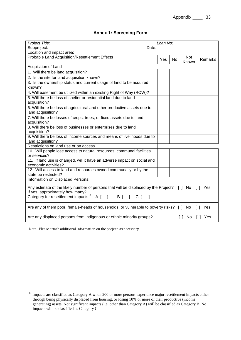| <b>Annex 1: Screening Form</b> |  |  |  |  |
|--------------------------------|--|--|--|--|
|--------------------------------|--|--|--|--|

| Project Title:                                                                                                                                                                                                                | Loan No: |           |                                 |         |
|-------------------------------------------------------------------------------------------------------------------------------------------------------------------------------------------------------------------------------|----------|-----------|---------------------------------|---------|
| Subproject:<br>Date:                                                                                                                                                                                                          |          |           |                                 |         |
| Location and impact area:                                                                                                                                                                                                     |          |           |                                 |         |
| Probable Land Acquisition/Resettlement Effects                                                                                                                                                                                | Yes      | <b>No</b> | <b>Not</b><br>Known             | Remarks |
| Acquisition of Land                                                                                                                                                                                                           |          |           |                                 |         |
| 1. Will there be land acquisition?                                                                                                                                                                                            |          |           |                                 |         |
| 2. Is the site for land acquisition known?                                                                                                                                                                                    |          |           |                                 |         |
| 3. Is the ownership status and current usage of land to be acquired<br>known?                                                                                                                                                 |          |           |                                 |         |
| 4. Will easement be utilized within an existing Right of Way (ROW)?                                                                                                                                                           |          |           |                                 |         |
| 5. Will there be loss of shelter or residential land due to land<br>acquisition?                                                                                                                                              |          |           |                                 |         |
| 6. Will there be loss of agricultural and other productive assets due to<br>land acquisition?                                                                                                                                 |          |           |                                 |         |
| 7. Will there be losses of crops, trees, or fixed assets due to land<br>acquisition?                                                                                                                                          |          |           |                                 |         |
| 8. Will there be loss of businesses or enterprises due to land<br>acquisition?                                                                                                                                                |          |           |                                 |         |
| 9. Will there be loss of income sources and means of livelihoods due to<br>land acquisition?                                                                                                                                  |          |           |                                 |         |
| Restrictions on land use or on access                                                                                                                                                                                         |          |           |                                 |         |
| 10. Will people lose access to natural resources, communal facilities<br>or services?                                                                                                                                         |          |           |                                 |         |
| 11. If land use is changed, will it have an adverse impact on social and<br>economic activities?                                                                                                                              |          |           |                                 |         |
| 12. Will access to land and resources owned communally or by the<br>state be restricted?                                                                                                                                      |          |           |                                 |         |
| Information on Displaced Persons:                                                                                                                                                                                             |          |           |                                 |         |
| Any estimate of the likely number of persons that will be displaced by the Project? [ ] No [ ] Yes<br>If yes, approximately how many?<br>Category for resettlement impacts: $\begin{bmatrix} 6 & 1 \end{bmatrix}$ B [ ] C [ ] |          |           |                                 |         |
| Are any of them poor, female-heads of households, or vulnerable to poverty risks? [ ] No [ ]<br>Yes                                                                                                                           |          |           |                                 |         |
| Are any displaced persons from indigenous or ethnic minority groups?                                                                                                                                                          |          |           | $\lceil \, \rceil$ No<br>$\Box$ | Yes     |

Note: Please attach additional information on the project, as necessary.

<sup>&</sup>lt;sup>6</sup> Impacts are classified as Category A when 200 or more persons experience major resettlement impacts either through being physically displaced from housing, or losing 10% or more of their productive (income generating) assets. Not significant impacts (i.e. other than Category A) will be classified as Category B. No impacts will be classified as Category C.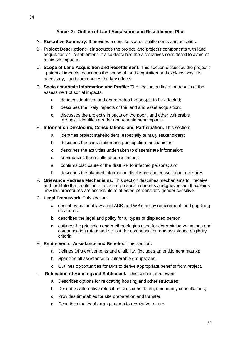#### **Annex 2: Outline of Land Acquisition and Resettlement Plan**

- A. **Executive Summary:** It provides a concise scope, entitlements and activities.
- B. **Project Description:** It introduces the project, and projects components with land acquisition or resettlement. It also describes the alternatives considered to avoid or minimize impacts.
- C. **Scope of Land Acquisition and Resettlement:** This section discusses the project's potential impacts; describes the scope of land acquisition and explains why it is necessary; and summarizes the key effects
- D. **Socio economic Information and Profile:** The section outlines the results of the assessment of social impacts:
	- a. defines, identifies, and enumerates the people to be affected;
	- b. describes the likely impacts of the land and asset acquisition;
	- c. discusses the project's impacts on the poor , and other vulnerable groups; identifies gender and resettlement impacts.
- E. **Information Disclosure, Consultations, and Participation.** This section:
	- a. identifies project stakeholders, especially primary stakeholders;
	- b. describes the consultation and participation mechanisms;
	- c. describes the activities undertaken to disseminate information;
	- d. summarizes the results of consultations;
	- e. confirms disclosure of the draft RP to affected persons; and
	- f. describes the planned information disclosure and consultation measures
- F. **Grievance Redress Mechanisms.** This section describes mechanisms to receive and facilitate the resolution of affected persons' concerns and grievances. It explains how the procedures are accessible to affected persons and gender sensitive.
- G. **Legal Framework.** This section:
	- a. describes national laws and ADB and WB's policy requirement; and gap-filing measures.
	- b. describes the legal and policy for all types of displaced person;
	- c. outlines the principles and methodologies used for determining valuations and compensation rates; and set out the compensation and assistance eligibility criteria
- H. **Entitlements, Assistance and Benefits.** This section**:** 
	- a. Defines DPs entitlements and eligibility, (includes an entitlement matrix);
	- b. Specifies all assistance to vulnerable groups; and.
	- c. Outlines opportunities for DPs to derive appropriate benefits from project.
- I. **Relocation of Housing and Settlement.** This section, if relevant:
	- a. Describes options for relocating housing and other structures;
	- b. Describes alternative relocation sites considered; community consultations;
	- c. Provides timetables for site preparation and transfer;
	- d. Describes the legal arrangements to regularize tenure;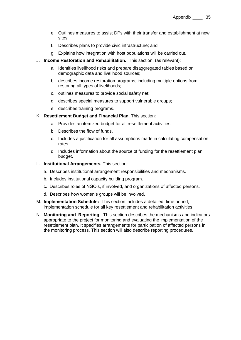- e. Outlines measures to assist DPs with their transfer and establishment at new sites;
- f. Describes plans to provide civic infrastructure; and
- g. Explains how integration with host populations will be carried out.
- J. **Income Restoration and Rehabilitation.** This section, (as relevant):
	- a. Identifies livelihood risks and prepare disaggregated tables based on demographic data and livelihood sources;
	- b. describes income restoration programs, including multiple options from restoring all types of livelihoods;
	- c. outlines measures to provide social safety net;
	- d. describes special measures to support vulnerable groups;
	- e. describes training programs.
- K. **Resettlement Budget and Financial Plan.** This section:
	- a. Provides an itemized budget for all resettlement activities.
	- b. Describes the flow of funds.
	- c. Includes a justification for all assumptions made in calculating compensation rates.
	- d. Includes information about the source of funding for the resettlement plan budget.
- L. **Institutional Arrangements.** This section:
	- a. Describes institutional arrangement responsibilities and mechanisms.
	- b. Includes institutional capacity building program.
	- c. Describes roles of NGO's, if involved, and organizations of affected persons.
	- d. Describes how women's groups will be involved.
- M. **Implementation Schedule:** This section includes a detailed, time bound, implementation schedule for all key resettlement and rehabilitation activities.
- N. **Monitoring and Reporting:** This section describes the mechanisms and indicators appropriate to the project for monitoring and evaluating the implementation of the resettlement plan. It specifies arrangements for participation of affected persons in the monitoring process. This section will also describe reporting procedures.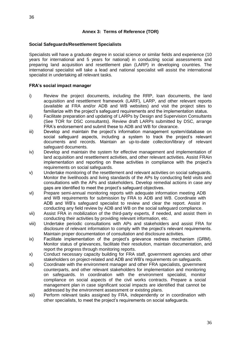### **Annex 3: Terms of Reference (TOR)**

#### **Social Safeguards/Resettlement Specialists**

Specialists will have a graduate degree in social science or similar fields and experience (10 years for international and 5 years for national) in conducting social assessments and preparing land acquisition and resettlement plan (LARP) in developing countries. The international specialist will take a lead and national specialist will assist the international specialist in undertaking all relevant tasks.

#### **FRA's social impact manager**

- i) Review the project documents, including the RRP, loan documents, the land acquisition and resettlement framework (LARF), LARP, and other relevant reports (available at FRA and/or ADB and WB websites) and visit the project sites to familiarize with the project's safeguard requirements and the implementation status.
- ii) Facilitate preparation and updating of LARPs by Design and Supervision Consultants (See TOR for DSC consultants). Review draft LARPs submitted by DSC, arrange FRA's endorsement and submit these to ADB and WB for clearance.
- iii) Develop and maintain the project's information management system/database on social safeguard aspects, including a system to track the project's relevant documents and records. Maintain an up-to-date collection/library of relevant safeguard documents.
- iv) Develop and maintain the system for effective management and implementation of land acquisition and resettlement activities, and other relevant activities. Assist FRAin implementation and reporting on these activities in compliance with the project's requirements on social safeguards.
- v) Undertake monitoring of the resettlement and relevant activities on social safeguards. Monitor the livelihoods and living standards of the APs by conducting field visits and consultations with the APs and stakeholders. Develop remedial actions in case any gaps are identified to meet the project's safeguard objectives.
- vi) Prepare semi-annual monitoring reports with adequate information meeting ADB and WB requirements for submission by FRA to ADB and WB. Coordinate with ADB and WB's safeguard specialist to review and clear the report. Assist in conducting any field review by ADB and WB on the social safeguard compliance.
- vii) Assist FRA in mobilization of the third-party experts, if needed, and assist them in conducting their activities by providing relevant information, etc.
- viii) Undertake periodic consultations with APs and stakeholders and assist FRA for disclosure of relevant information to comply with the project's relevant requirements. Maintain proper documentation of consultation and disclosure activities.
- ix) Facilitate implementation of the project's grievance redress mechanism (GRM). Monitor status of grievances, facilitate their resolution, maintain documentation, and report the progress through monitoring reports.
- x) Conduct necessary capacity building for FRA staff, government agencies and other stakeholders on project-related and ADB and WB's requirements on safeguards.
- xi) Coordinate with the environment manager and other FRA specialists, government counterparts, and other relevant stakeholders for implementation and monitoring on safeguards. In coordination with the environment specialist, monitor compliance on social aspects of the civil works contracts. Prepare a social management plan in case significant social impacts are identified that cannot be addressed by the environment assessment or existing plans.
- xii) Perform relevant tasks assigned by FRA, independently or in coordination with other specialists, to meet the project's requirements on social safeguards.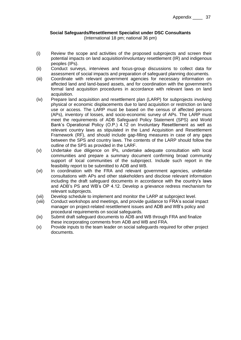# **Social Safeguards/Resettlement Specialist under DSC Consultants**

(International 18 pm; national 36 pm)

- (i) Review the scope and activities of the proposed subprojects and screen their potential impacts on land acquisition/involuntary resettlement (IR) and indigenous peoples (IPs).
- (ii) Conduct surveys, interviews and focus-group discussions to collect data for assessment of social impacts and preparation of safeguard planning documents.
- (iii) Coordinate with relevant government agencies for necessary information on affected land and land-based assets, and for coordination with the government's formal land acquisition procedures in accordance with relevant laws on land acquisition.
- (iv) Prepare land acquisition and resettlement plan (LARP) for subprojects involving physical or economic displacements due to land acquisition or restriction on land use or access. The LARP must be based on the census of affected persons (APs), inventory of losses, and socio-economic survey of APs. The LARP must meet the requirements of ADB Safeguard Policy Statement (SPS) and World Bank's Operational Policy (O.P.) 4.12 on Involuntary Resettlement as well as relevant country laws as stipulated in the Land Acquisition and Resettlement Framework (RF), and should include gap-filling measures in case of any gaps between the SPS and country laws. The contents of the LARP should follow the outline of the SPS as provided in the LARF.
- (v) Undertake due diligence on IPs, undertake adequate consultation with local communities and prepare a summary document confirming broad community support of local communities of the subproject. Include such report in the feasibility report to be submitted to ADB and WB.
- (vi) In coordination with the FRA and relevant government agencies, undertake consultations with APs and other stakeholders and disclose relevant information including the draft safeguard documents in accordance with the country's laws and ADB's PS and WB's OP 4.12. Develop a grievance redress mechanism for relevant subprojects.
- (vii) Develop schedule to implement and monitor the LARP at subproject level.
- (viii) Conduct workshops and meetings, and provide guidance to FRA's social impact manager on project-related resettlement issues and ADB and WB's policy and procedural requirements on social safeguards.
- (ix) Submit draft safeguard documents to ADB and WB through FRA and finalize these incorporating comments from ADB and WB and FRA.
- (x) Provide inputs to the team leader on social safeguards required for other project documents.